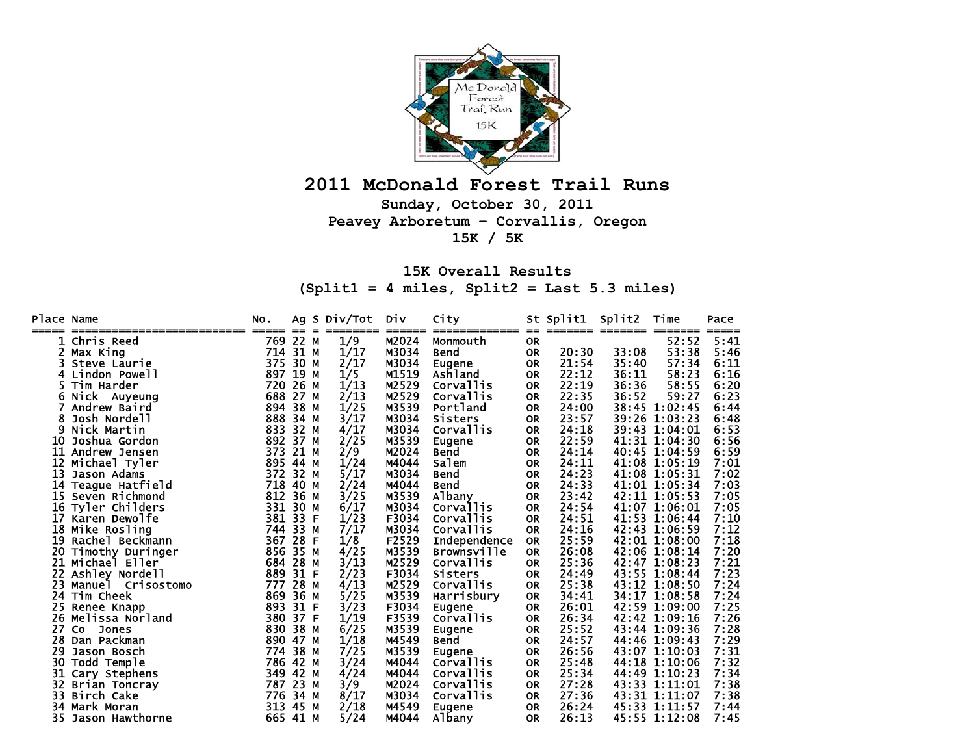

## **2011 McDonald Forest Trail Runs**

**Sunday, October 30, 2011 Peavey Arboretum – Corvallis, Oregon 15K / 5K** 

## **15K Overall Results (Split1 = 4 miles, Split2 = Last 5.3 miles)**

| Place Name |                                        | NO.          | Ag       | S Div/Tot | Div             | City                     |                  | St Split1 | Split2           | Time           | Pace          |
|------------|----------------------------------------|--------------|----------|-----------|-----------------|--------------------------|------------------|-----------|------------------|----------------|---------------|
| =====      | ------------------------<br>Chris Reed | =====<br>769 | 22 M     | 1/9       | ======<br>M2024 | ============<br>Monmouth | $=$<br><b>OR</b> |           | ======== ======= | =====<br>52:52 | =====<br>5:41 |
| 2.         | Max King                               | 714          | 31 M     | 1/17      | M3034           | Bend                     | <b>OR</b>        | 20:30     | 33:08            | 53:38          | 5:46          |
|            | Steve Laurie                           | 375          | 30 M     | 2/17      | M3034           | Eugene                   | <b>OR</b>        | 21:54     | 35:40            | 57:34          | 6:11          |
| 4          | Lindon Powell                          | 897          | 19 M     | 1/5       | M1519           | Ashland                  | <b>OR</b>        | 22:12     | 36:11            | 58:23          | 6:16          |
|            | Tim Harder                             | 720          | 26 M     | 1/13      | M2529           | Corvallis                | <b>OR</b>        | 22:19     | 36:36            | 58:55          | 6:20          |
| 6          | Nick Auyeung                           | 688          | 27 M     | 2/13      | M2529           | Corvallis                | <b>OR</b>        | 22:35     | 36:52            | 59:27          | 6:23          |
|            | Andrew Baird                           | 894          | 38 M     | 1/25      | M3539           | Portland                 | <b>OR</b>        | 24:00     |                  | 38:45 1:02:45  | 6:44          |
| 8          | Josh Nordell                           | 888          | 34 M     | 3/17      | M3034           | Sisters                  | <b>OR</b>        | 23:57     |                  | 39:26 1:03:23  | 6:48          |
| 9          | Nick Martin                            | 833          | 32 M     | 4/17      | M3034           | <b>Corvallis</b>         | <b>OR</b>        | 24:18     |                  | 39:43 1:04:01  | 6:53          |
| 10         | Joshua Gordon                          | 892          | 37 M     | 2/25      | M3539           | Eugene                   | <b>OR</b>        | 22:59     |                  | 41:31 1:04:30  | 6:56          |
| 11         | Andrew Jensen                          | 373          | 21 M     | 2/9       | M2024           | Bend                     | <b>OR</b>        | 24:14     |                  | 40:45 1:04:59  | 6:59          |
| 12         | Michael Tyler                          |              | 895 44 M | 1/24      | M4044           | Salem                    | <b>OR</b>        | 24:11     |                  | 41:08 1:05:19  | 7:01          |
| 13         | Jason Adams                            | 372          | 32 M     | 5/17      | M3034           | Bend                     | <b>OR</b>        | 24:23     |                  | 41:08 1:05:31  | 7:02          |
| 14         | Teague Hatfield                        | 718          | 40 M     | 2/24      | M4044           | Bend                     | <b>OR</b>        | 24:33     |                  | 41:01 1:05:34  | 7:03          |
| 15.        | Seven Richmond                         | 812          | 36 M     | 3/25      | M3539           | Albany                   | <b>OR</b>        | 23:42     |                  | 42:11 1:05:53  | 7:05          |
| 16         | Tyler Childers                         | 331          | 30 M     | 6/17      | M3034           | <b>Corvallis</b>         | <b>OR</b>        | 24:54     |                  | 41:07 1:06:01  | 7:05          |
| 17         | Karen Dewolfe                          | 381          | 33 F     | 1/23      | F3034           | <b>Corvallis</b>         | <b>OR</b>        | 24:51     |                  | 41:53 1:06:44  | 7:10          |
| 18         | Mike Rosling                           | 744          | 33 M     | 7/17      | M3034           | Corvallis                | <b>OR</b>        | 24:16     |                  | 42:43 1:06:59  | 7:12          |
| 19         | Rachel Beckmann                        | 367          | 28 F     | 1/8       | F2529           | Independence             | <b>OR</b>        | 25:59     |                  | 42:01 1:08:00  | 7:18          |
| 20         | Timothy Duringer                       | 856          | 35 M     | 4/25      | M3539           | <b>Brownsville</b>       | <b>OR</b>        | 26:08     |                  | 42:06 1:08:14  | 7:20          |
| 21         | Michael Eller                          | 684          | 28 M     | 3/13      | M2529           | Corvallis                | <b>OR</b>        | 25:36     |                  | 42:47 1:08:23  | 7:21          |
| 22         | Ashley Nordell                         | 889          | 31 F     | 2/23      | F3034           | Sisters                  | <b>OR</b>        | 24:49     |                  | 43:55 1:08:44  | 7:23          |
| 23         | Manuel<br><b>Crisostomo</b>            | 777          | 28 M     | 4/13      | M2529           | Corvallis                | <b>OR</b>        | 25:38     |                  | 43:12 1:08:50  | 7:24          |
| 24         | <b>Tim Cheek</b>                       | 869          | 36 M     | 5/25      | M3539           | Harrisbury               | <b>OR</b>        | 34:41     |                  | 34:17 1:08:58  | 7:24          |
| 25         | Renee Knapp                            | 893          | 31 F     | 3/23      | F3034           | <b>Eugene</b>            | <b>OR</b>        | 26:01     |                  | 42:59 1:09:00  | 7:25          |
| 26         | Melissa Norland                        | 380          | 37 F     | 1/19      | F3539           | Corvallis                | <b>OR</b>        | 26:34     |                  | 42:42 1:09:16  | 7:26          |
| 27         | <b>CO</b><br><b>Jones</b>              | 830          | 38 M     | 6/25      | M3539           | Eugene                   | <b>OR</b>        | 25:52     |                  | 43:44 1:09:36  | 7:28          |
| 28         | Dan Packman                            | 890          | 47 M     | 1/18      | M4549           | Bend                     | <b>OR</b>        | 24:57     |                  | 44:46 1:09:43  | 7:29          |
| 29         | Jason Bosch                            | 774          | 38 M     | 7/25      | M3539           | Eugene                   | <b>OR</b>        | 26:56     |                  | 43:07 1:10:03  | 7:31          |
| 30         | Todd Temple                            | 786          | 42 M     | 3/24      | M4044           | <b>Corvallis</b>         | <b>OR</b>        | 25:48     |                  | 44:18 1:10:06  | 7:32          |
| 31         | Cary Stephens                          | 349          | 42 M     | 4/24      | M4044           | Corvallis                | <b>OR</b>        | 25:34     |                  | 44:49 1:10:23  | 7:34          |
| 32.        | <b>Brian Toncray</b>                   | 787          | 23 M     | 3/9       | M2024           | Corvallis                | <b>OR</b>        | 27:28     |                  | 43:33 1:11:01  | 7:38          |
| 33         | Birch Cake                             | 776          | 34 M     | 8/17      | M3034           | Corvallis                | <b>OR</b>        | 27:36     |                  | 43:31 1:11:07  | 7:38          |
| 34         | Mark Moran                             | 313          | 45 M     | 2/18      | M4549           | Eugene                   | <b>OR</b>        | 26:24     |                  | 45:33 1:11:57  | 7:44          |
| 35.        | Jason Hawthorne                        |              | 665 41 M | 5/24      | M4044           | Albany                   | <b>OR</b>        | 26:13     |                  | 45:55 1:12:08  | 7:45          |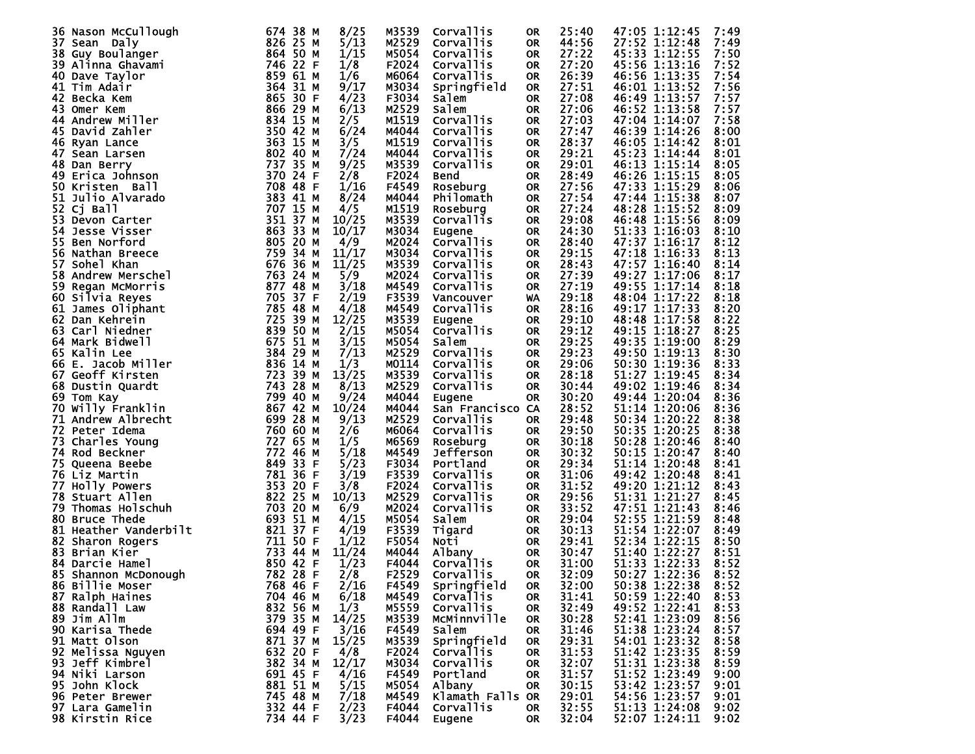| 36 Nason McCullough                                                                                              | 674 38 M | 8/25  | M3539 | Corvallis        | <b>OR</b> | 25:40 | 47:05 1:12:45                  | 7:49         |
|------------------------------------------------------------------------------------------------------------------|----------|-------|-------|------------------|-----------|-------|--------------------------------|--------------|
| 37 Sean Daly                                                                                                     | 826 25 M | 5/13  | M2529 | Corvallis        | <b>OR</b> | 44:56 | 27:52 1:12:48                  | 7:49         |
| 38 Guy Boulanger                                                                                                 | 864 50 M | 1/15  | M5054 | Corvallis        | <b>OR</b> | 27:22 | 45:33 1:12:55                  | 7:50         |
| 39 Alinna Ghavami                                                                                                | 746 22 F | 1/8   | F2024 | Corvallis        | <b>OR</b> | 27:20 | 45:56 1:13:16                  | 7:52         |
| 40 Dave Taylor                                                                                                   | 859 61 M | 1/6   | M6064 | Corvallis        | <b>OR</b> | 26:39 | 46:56 1:13:35                  | 7:54         |
| 41 Tim Adair                                                                                                     | 364 31 M | 9/17  | M3034 | Springfield      | <b>OR</b> | 27:51 | 46:01 1:13:52                  | 7:56         |
| 42 Becka Kem                                                                                                     | 865 30 F | 4/23  | F3034 | <b>Salem</b>     | <b>OR</b> | 27:08 | 46:49 1:13:57                  | 7:57         |
| 43 Omer Kem                                                                                                      | 866 29 M | 6/13  | M2529 | Salem            | <b>OR</b> | 27:06 | 46:52 1:13:58                  | 7:57         |
| 44 Andrew Miller                                                                                                 | 834 15 M | 2/5   | M1519 | Corvallis        | <b>OR</b> | 27:03 | 47:04 1:14:07                  | 7:58         |
|                                                                                                                  |          |       |       |                  |           |       |                                | 8:00         |
| 45 David Zahler                                                                                                  | 350 42 M | 6/24  | M4044 | Corvallis        | <b>OR</b> | 27:47 | 46:39 1:14:26                  |              |
| 46 Ryan Lance                                                                                                    | 363 15 M | 3/5   | M1519 | Corvallis        | <b>OR</b> | 28:37 | 46:05 1:14:42                  | 8:01         |
| 47 Sean Larsen                                                                                                   | 802 40 M | 7/24  | M4044 | Corvallis        | <b>OR</b> | 29:21 | 45:23 1:14:44                  | 8:01         |
| 48 Dan Berry                                                                                                     | 737 35 M | 9/25  | M3539 | Corvallis        | <b>OR</b> | 29:01 | 46:13 1:15:14                  | 8:05         |
| 49 Erica Johnson                                                                                                 | 370 24 F | 2/8   | F2024 | Bend             | <b>OR</b> | 28:49 | 46:26 1:15:15                  | 8:05         |
| 50 Kristen Ball                                                                                                  | 708 48 F | 1/16  | F4549 | Roseburg         | <b>OR</b> | 27:56 | 47:33 1:15:29                  | 8:06         |
| 51 Julio Alvarado                                                                                                | 383 41 M | 8/24  | M4044 | Philomath        | <b>OR</b> | 27:54 | 47:44 1:15:38                  | 8:07         |
| 52 Cj Ball                                                                                                       | 707 15 M | 4/5   | M1519 | Roseburg         | <b>OR</b> | 27:24 | 48:28 1:15:52                  | 8:09         |
| 53 Devon Carter                                                                                                  | 351 37 M | 10/25 | M3539 | Corvallis        | <b>OR</b> | 29:08 | 46:48 1:15:56                  | 8:09         |
| 54<br><b>Jesse Visser</b>                                                                                        | 863 33 M | 10/17 | M3034 | Eugene           | <b>OR</b> | 24:30 | 51:33 1:16:03                  | 8:10         |
| 55<br>Ben Norford                                                                                                | 805 20 M | 4/9   | M2024 | Corvallis        | <b>OR</b> | 28:40 | 47:37 1:16:17                  | 8:12         |
| 56 Nathan Breece                                                                                                 | 759 34 M | 11/17 | M3034 | Corvallis        | <b>OR</b> | 29:15 | 47:18 1:16:33                  | 8:13         |
| 57 Sohel Khan                                                                                                    | 676 36 M | 11/25 | M3539 | Corvallis        | <b>OR</b> | 28:43 | 47:57 1:16:40                  | 8:14         |
| 58 Andrew Merschel                                                                                               | 763 24 M | 5/9   | M2024 | Corvallis        | <b>OR</b> | 27:39 | 49:27 1:17:06                  | 8:17         |
| 59 Regan McMorris                                                                                                | 877 48 M | 3/18  | M4549 | Corvallis        | <b>OR</b> | 27:19 | 49:55 1:17:14                  | 8:18         |
|                                                                                                                  | 705 37 F | 2/19  | F3539 |                  | <b>WA</b> | 29:18 | 48:04 1:17:22                  | 8:18         |
| 60 Silvia Reyes                                                                                                  | 785 48 M |       |       | Vancouver        |           |       | 49:17 1:17:33                  |              |
| 61 James Oliphant                                                                                                |          | 4/18  | M4549 | Corvallis        | <b>OR</b> | 28:16 |                                | 8:20         |
| 62 Dan Kehrein                                                                                                   | 725 39 M | 12/25 | M3539 | Eugene           | <b>OR</b> | 29:10 | 48:48 1:17:58                  | 8:22         |
| 63<br>Carl Niedner                                                                                               | 839 50 M | 2/15  | M5054 | <b>Corvallis</b> | <b>OR</b> | 29:12 | 49:15 1:18:27                  | 8:25         |
| 64 Mark Bidwell                                                                                                  | 675 51 M | 3/15  | M5054 | Salem            | <b>OR</b> | 29:25 | 49:35 1:19:00                  | 8:29         |
| 65 Kalin Lee                                                                                                     | 384 29 M | 7/13  | M2529 | Corvallis        | <b>OR</b> | 29:23 | 49:50 1:19:13                  | 8:30         |
| 66 E. Jacob Miller                                                                                               | 836 14 M | 1/3   | M0114 | Corvallis        | <b>OR</b> | 29:06 | 50:30 1:19:36                  | 8:33         |
| 67 Geoff Kirsten                                                                                                 | 723 39 M | 13/25 | M3539 | Corvallis        | <b>OR</b> | 28:18 | 51:27 1:19:45                  | 8:34         |
| 68 Dustin Quardt                                                                                                 | 743 28 M | 8/13  | M2529 | Corvallis        | <b>OR</b> | 30:44 | 49:02 1:19:46                  | 8:34         |
| 69 Tom Kay                                                                                                       | 799 40 M | 9/24  | M4044 | Eugene           | <b>OR</b> | 30:20 | 49:44 1:20:04                  | 8:36         |
| 70 Willy Franklin                                                                                                | 867 42 M | 10/24 | M4044 | San Francisco CA |           | 28:52 | 51:14 1:20:06                  | 8:36         |
| 71 Andrew Albrecht                                                                                               | 699 28 M | 9/13  | M2529 | <b>Corvallis</b> | 0R        | 29:48 | 50:34 1:20:22                  | 8:38         |
| 72 Peter Idema                                                                                                   | 760 60 M | 2/6   | M6064 | Corvallis        | <b>OR</b> | 29:50 | 50:35 1:20:25                  | 8:38         |
| 73 Charles Young                                                                                                 | 727 65 M | 1/5   | M6569 | Roseburg         | <b>OR</b> | 30:18 | 50:28 1:20:46                  | 8:40         |
| 74 Rod Beckner                                                                                                   | 772 46 M | 5/18  | M4549 | Jefferson        | <b>OR</b> | 30:32 | 50:15 1:20:47                  | 8:40         |
| 75<br>Queena Beebe                                                                                               | 849 33 F | 5/23  | F3034 | Portland         | <b>OR</b> | 29:34 | 51:14 1:20:48                  | 8:41         |
| 76 Liz Martin                                                                                                    | 781 36 F | 3/19  | F3539 | Corvallis        | <b>OR</b> | 31:06 | 49:42 1:20:48                  | 8:41         |
| 77 Holly Powers                                                                                                  | 353 20 F | 3/8   | F2024 | Corvallis        | <b>OR</b> | 31:52 | 49:20 1:21:12                  | 8:43         |
| 78 Stuart Allen                                                                                                  | 822 25 M | 10/13 | M2529 | Corvallis        | <b>OR</b> | 29:56 | 51:31 1:21:27                  | 8:45         |
| 79 Thomas Holschuh                                                                                               | 703 20 M | 6/9   | M2024 | Corvallis        | <b>OR</b> | 33:52 | 47:51 1:21:43                  |              |
|                                                                                                                  | 693 51 M | 4/15  |       | Salem            |           | 29:04 | 52:55 1:21:59                  | 8:46<br>8:48 |
| 80 Bruce Thede                                                                                                   |          |       | M5054 |                  | <b>OR</b> |       |                                |              |
| <b>81 Heather Vanderbilt<br/>82 Sharon Rogers<br/>83 Brian Kier<br/>84 Darcie Hamel<br/>85 Shannon McDonough</b> | 821 37 F | 4/19  | F3539 | Tigard           | <b>OR</b> | 30:13 | 51:54 1:22:07                  | 8:49         |
|                                                                                                                  | 711 50 F | 1/12  | F5054 | Noti             | <b>OR</b> | 29:41 | 52:34 1:22:15                  | 8:50         |
|                                                                                                                  | 733 44 M | 11/24 | M4044 | Albany           | <b>OR</b> | 30:47 | 51:40 1:22:27<br>51:33 1:22:33 | 8:51         |
|                                                                                                                  | 850 42 F | 1/23  | F4044 | <b>Corvallis</b> | <b>OR</b> | 31:00 |                                | 8:52         |
| 85 Shannon McDonough 782 28 F                                                                                    |          | 2/8   | F2529 | Corvallis        | <b>OR</b> | 32:09 | 50:27 1:22:36                  | 8:52         |
| 86 Billie Moser                                                                                                  | 768 46 F | 2/16  | F4549 | Springfield      | 0R        | 32:00 | 50:38 1:22:38                  | 8:52         |
| 87 Ralph Haines                                                                                                  | 704 46 M | 6/18  | M4549 | <b>Corvallis</b> | 0R        | 31:41 | 50:59 1:22:40                  | 8:53         |
| 88 Randall Law                                                                                                   | 832 56 M | 1/3   | M5559 | <b>Corvallis</b> | 0R        | 32:49 | 49:52 1:22:41                  | 8:53         |
| 89 Jim Allm                                                                                                      | 379 35 M | 14/25 | M3539 | MCMinnville      | 0R        | 30:28 | 52:41 1:23:09                  | 8:56         |
| 90 Karisa Thede                                                                                                  | 694 49 F | 3/16  | F4549 | Salem            | 0R        | 31:46 | 51:38 1:23:24                  | 8:57         |
| 91 Matt Olson                                                                                                    | 871 37 M | 15/25 | M3539 | Springfield      | 0R        | 29:31 | 54:01 1:23:32                  | 8:58         |
| 92 Melissa Nguyen                                                                                                | 632 20 F | 4/8   | F2024 | Corvallis        | 0R        | 31:53 | 51:42 1:23:35                  | 8:59         |
| 93 Jeff Kimbrel                                                                                                  | 382 34 M | 12/17 | M3034 | <b>Corvallis</b> | 0R        | 32:07 | 51:31 1:23:38                  | 8:59         |
| 94 Niki Larson                                                                                                   | 691 45 F | 4/16  | F4549 | Portland         | 0R        | 31:57 | 51:52 1:23:49                  | 9:00         |
| 95 John Klock                                                                                                    | 881 51 M | 5/15  | M5054 | Albany           | 0R        | 30:15 | 53:42 1:23:57                  | 9:01         |
|                                                                                                                  | 745 48 M | 7/18  |       |                  |           | 29:01 | 54:56 1:23:57                  |              |
| 96 Peter Brewer                                                                                                  |          |       | M4549 | Klamath Falls OR |           |       |                                | 9:01         |
| 97 Lara Gamelin                                                                                                  | 332 44 F | 2/23  | F4044 | <b>Corvallis</b> | 0R        | 32:55 | 51:13 1:24:08                  | 9:02         |
| 98 Kirstin Rice                                                                                                  | 734 44 F | 3/23  | F4044 | Eugene           | 0R        | 32:04 | 52:07 1:24:11                  | 9:02         |
|                                                                                                                  |          |       |       |                  |           |       |                                |              |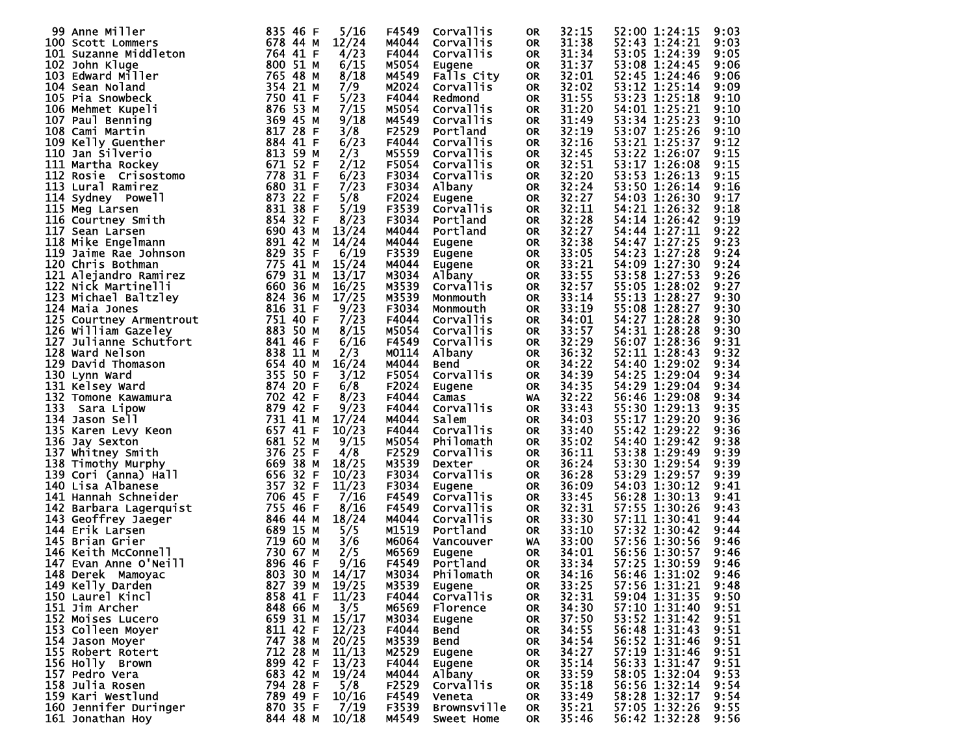| 99 Anne Miller                                                                                                                                                                                                                                                                                                                                                                   | 835 46 F    | 5/16  | F4549 | Corvallis        | <b>OR</b> | 32:15 | 52:00 1:24:15                  | 9:03 |
|----------------------------------------------------------------------------------------------------------------------------------------------------------------------------------------------------------------------------------------------------------------------------------------------------------------------------------------------------------------------------------|-------------|-------|-------|------------------|-----------|-------|--------------------------------|------|
| <b>100 Scott Lommers<br/>101 Suzanne Middleton<br/>102 John Kluge<br/>103 Edward Miller<br/>104 Sean Noland<br/>105 Pia Snowbeck<br/>106 Mehmet Kupeli<br/>106 Mehmet Kupeli</b>                                                                                                                                                                                                 | 678 44 M    | 12/24 | M4044 | Corvallis        | <b>OR</b> | 31:38 | 52:43 1:24:21                  | 9:03 |
|                                                                                                                                                                                                                                                                                                                                                                                  | 764 41 F    | 4/23  | F4044 | Corvallis        | <b>OR</b> | 31:34 | 53:05 1:24:39                  | 9:05 |
|                                                                                                                                                                                                                                                                                                                                                                                  |             |       |       |                  |           |       |                                |      |
|                                                                                                                                                                                                                                                                                                                                                                                  | 800 51 M    | 6/15  | M5054 | Eugene           | <b>OR</b> | 31:37 | 53:08 1:24:45                  | 9:06 |
|                                                                                                                                                                                                                                                                                                                                                                                  | 765 48 M    | 8/18  | M4549 | Falls City       | <b>OR</b> | 32:01 | 52:45 1:24:46                  | 9:06 |
|                                                                                                                                                                                                                                                                                                                                                                                  | 354 21 M    | 7/9   | M2024 | Corvallis        | <b>OR</b> | 32:02 | 53:12 1:25:14                  | 9:09 |
|                                                                                                                                                                                                                                                                                                                                                                                  | 750 41 F    | 5/23  | F4044 | Redmond          | <b>OR</b> | 31:55 | 53:23 1:25:18                  | 9:10 |
|                                                                                                                                                                                                                                                                                                                                                                                  | 876 53 M    | 7/15  | M5054 | Corvallis        | <b>OR</b> | 31:20 | 54:01 1:25:21                  | 9:10 |
|                                                                                                                                                                                                                                                                                                                                                                                  | 369 45 M    | 9/18  |       |                  |           | 31:49 | 53:34 1:25:23                  |      |
| 107 Paul Benning                                                                                                                                                                                                                                                                                                                                                                 |             |       | M4549 | Corvallis        | <b>OR</b> |       |                                | 9:10 |
|                                                                                                                                                                                                                                                                                                                                                                                  | 817 28 F    | 3/8   | F2529 | Portland         | <b>OR</b> | 32:19 | 53:07 1:25:26                  | 9:10 |
|                                                                                                                                                                                                                                                                                                                                                                                  | 884 41 F    | 6/23  | F4044 | Corvallis        | <b>OR</b> | 32:16 | 53:21 1:25:37                  | 9:12 |
|                                                                                                                                                                                                                                                                                                                                                                                  | 813 59 M    | 2/3   | M5559 | Corvallis        | <b>OR</b> | 32:45 | 53:22 1:26:07                  | 9:15 |
| 108 Cami Martin<br>109 Kelly Guenther<br>110 Jan Silverio<br>111 Martha Rockey<br>112 Rosie Crisostomo<br>112 Rosie Crisostomo<br>11 Martha Rocky,<br>12 Rosie Crisostomo<br>113 Lural Ramirez 680 31 P<br>114 Sydney Powell 873 22 F<br>115 Meg Larsen 831 38 F<br>116 Courtney Smith 854 32 F<br>117 Sean Larsen 690 42 M<br>117 Sean Larsen 690 42 M<br>117 Sean Larsen 891 4 | 671 52 F    | 2/12  | F5054 | Corvallis        | <b>OR</b> | 32:51 | 53:17 1:26:08                  | 9:15 |
|                                                                                                                                                                                                                                                                                                                                                                                  |             | 6/23  | F3034 | Corvallis        | <b>OR</b> | 32:20 | 53:53 1:26:13                  | 9:15 |
|                                                                                                                                                                                                                                                                                                                                                                                  |             |       |       |                  |           |       |                                |      |
|                                                                                                                                                                                                                                                                                                                                                                                  |             | 7/23  | F3034 | Albany           | OR        | 32:24 | 53:50 1:26:14                  | 9:16 |
|                                                                                                                                                                                                                                                                                                                                                                                  |             | 5/8   | F2024 | Eugene           | <b>OR</b> | 32:27 | 54:03 1:26:30                  | 9:17 |
|                                                                                                                                                                                                                                                                                                                                                                                  |             | 5/19  | F3539 | <b>Corvallis</b> | <b>OR</b> | 32:11 | 54:21 1:26:32                  | 9:18 |
|                                                                                                                                                                                                                                                                                                                                                                                  |             | 8/23  | F3034 | Portland         | <b>OR</b> | 32:28 | 54:14 1:26:42                  | 9:19 |
|                                                                                                                                                                                                                                                                                                                                                                                  |             | 13/24 | M4044 | Portland         | <b>OR</b> | 32:27 | 54:44 1:27:11                  | 9:22 |
|                                                                                                                                                                                                                                                                                                                                                                                  |             |       |       |                  |           |       |                                |      |
|                                                                                                                                                                                                                                                                                                                                                                                  |             | 14/24 | M4044 | Eugene           | <b>OR</b> | 32:38 | 54:47 1:27:25                  | 9:23 |
|                                                                                                                                                                                                                                                                                                                                                                                  |             | 6/19  | F3539 | Eugene           | <b>OR</b> | 33:05 | 54:23 1:27:28                  | 9:24 |
|                                                                                                                                                                                                                                                                                                                                                                                  |             | 15/24 | M4044 | Eugene           | OR        | 33:21 | 54:09 1:27:30                  | 9:24 |
|                                                                                                                                                                                                                                                                                                                                                                                  |             | 13/17 | M3034 | Albany           | <b>OR</b> | 33:55 | 53:58 1:27:53                  | 9:26 |
|                                                                                                                                                                                                                                                                                                                                                                                  |             | 16/25 | M3539 | Corvallis        | <b>OR</b> | 32:57 | 55:05 1:28:02                  | 9:27 |
|                                                                                                                                                                                                                                                                                                                                                                                  |             |       |       |                  |           |       |                                |      |
|                                                                                                                                                                                                                                                                                                                                                                                  |             | 17/25 | M3539 | Monmouth         | <b>OR</b> | 33:14 | 55:13 1:28:27                  | 9:30 |
|                                                                                                                                                                                                                                                                                                                                                                                  |             | 9/23  | F3034 | Monmouth         | <b>OR</b> | 33:19 | 55:08 1:28:27                  | 9:30 |
|                                                                                                                                                                                                                                                                                                                                                                                  |             | 7/23  | F4044 | Corvallis        | <b>OR</b> | 34:01 | 54:27 1:28:28                  | 9:30 |
|                                                                                                                                                                                                                                                                                                                                                                                  |             | 8/15  | M5054 | Corvallis        | <b>OR</b> | 33:57 | 54:31 1:28:28                  | 9:30 |
|                                                                                                                                                                                                                                                                                                                                                                                  |             | 6/16  | F4549 | Corvallis        | OR        | 32:29 | 56:07 1:28:36                  | 9:31 |
|                                                                                                                                                                                                                                                                                                                                                                                  |             | 2/3   | M0114 |                  | <b>OR</b> | 36:32 | 52:11 1:28:43                  | 9:32 |
|                                                                                                                                                                                                                                                                                                                                                                                  |             |       |       | Albany           |           |       |                                |      |
|                                                                                                                                                                                                                                                                                                                                                                                  |             | 16/24 | M4044 | Bend             | <b>OR</b> | 34:22 | 54:40 1:29:02                  | 9:34 |
| 118 Mike Engelmann<br>119 Jaime Rae Johnson<br>120 Chris Bothman<br>121 Alejandro Ramirez<br>122 Nick Martinelli<br>123 Mick Martinelli<br>123 Michael Baltzley<br>124 Maia Jones<br>124 Maia Jones<br>124 Maia Jones<br>124 Maia Jones<br>125 Court                                                                                                                             |             | 3/12  | F5054 | Corvallis        | <b>OR</b> | 34:39 | 54:25 1:29:04                  | 9:34 |
|                                                                                                                                                                                                                                                                                                                                                                                  |             | 6/8   | F2024 | Eugene           | <b>OR</b> | 34:35 | 54:29 1:29:04                  | 9:34 |
| 31 Tomone Newslet<br>133 Sara Lipow<br>134 Jason Sell<br>135 Karen Levy Keon<br>136 Jay Sexton<br>136 Jay Sexton<br>196 Jay Sexton<br>196 Jay Sexton                                                                                                                                                                                                                             |             | 8/23  | F4044 | Camas            | WA        | 32:22 | 56:46 1:29:08                  | 9:34 |
|                                                                                                                                                                                                                                                                                                                                                                                  |             | 9/23  | F4044 | Corvallis        | <b>OR</b> | 33:43 | 55:30 1:29:13                  | 9:35 |
|                                                                                                                                                                                                                                                                                                                                                                                  |             |       |       |                  |           |       |                                |      |
|                                                                                                                                                                                                                                                                                                                                                                                  |             | 17/24 | M4044 | Salem            | <b>OR</b> | 34:03 | 55:17 1:29:20                  | 9:36 |
|                                                                                                                                                                                                                                                                                                                                                                                  | 657 41 F    | 10/23 | F4044 | Corvallis        | <b>OR</b> | 33:40 | 55:42 1:29:22                  | 9:36 |
|                                                                                                                                                                                                                                                                                                                                                                                  | 681 52 M    | 9/15  | M5054 | Philomath        | <b>OR</b> | 35:02 | 54:40 1:29:42                  | 9:38 |
|                                                                                                                                                                                                                                                                                                                                                                                  | 376 25 F    | 4/8   | F2529 | Corvallis        | <b>OR</b> | 36:11 | 53:38 1:29:49                  | 9:39 |
|                                                                                                                                                                                                                                                                                                                                                                                  | 669 38 M    | 18/25 | M3539 | Dexter           | <b>OR</b> | 36:24 | 53:30 1:29:54                  | 9:39 |
| 139 Cori (anna) Hall                                                                                                                                                                                                                                                                                                                                                             | 656 32 F    | 10/23 |       | Corvallis        |           | 36:28 |                                |      |
|                                                                                                                                                                                                                                                                                                                                                                                  |             |       | F3034 |                  | <b>OR</b> |       | 53:29 1:29:57                  | 9:39 |
| 140 Lisa Albanese                                                                                                                                                                                                                                                                                                                                                                | 357 32 F    | 11/23 | F3034 | Eugene           | <b>OR</b> | 36:09 | 54:03 1:30:12                  | 9:41 |
| 141 Hannah Schneider                                                                                                                                                                                                                                                                                                                                                             | 706 45<br>F | 7/16  | F4549 | Corvallis        | <b>OR</b> | 33:45 | 56:28 1:30:13                  | 9:41 |
|                                                                                                                                                                                                                                                                                                                                                                                  | 755 46 F    | 8/16  | F4549 | Corvallis        | <b>OR</b> | 32:31 | 57:55 1:30:26                  | 9:43 |
| 141 Hannan Schneider<br>142 Barbara Lagerquist<br>143 Geoffrey Jaeger<br>144 Erik Larsen<br>145 Brian Grier<br>146 Keith McConnell<br>147 Evan Anne O'Neill<br>148 Derek Mamoyac                                                                                                                                                                                                 | 846 44 M    | 18/24 | M4044 | Corvallis        | <b>OR</b> | 33:30 | 57:11 1:30:41                  | 9:44 |
|                                                                                                                                                                                                                                                                                                                                                                                  | 689 15 M    | 5/5   | M1519 | Portland         | <b>OR</b> | 33:10 | 57:32 1:30:42                  | 9:44 |
|                                                                                                                                                                                                                                                                                                                                                                                  |             |       |       |                  |           | 33:00 |                                |      |
|                                                                                                                                                                                                                                                                                                                                                                                  | 719 60 M    | 3/6   | M6064 | Vancouver        | WA        |       | 57:56 1:30:56                  | 9:46 |
|                                                                                                                                                                                                                                                                                                                                                                                  | 730 67 M    | 2/5   | M6569 | Eugene           | <b>OR</b> | 34:01 | 56:56 1:30:57                  | 9:46 |
|                                                                                                                                                                                                                                                                                                                                                                                  | 896 46 F    | 9/16  | F4549 | Portland         | <b>OR</b> | 33:34 | 57:25 1:30:59                  | 9:46 |
| 803 30 M<br>148 Derek Mamoyac                                                                                                                                                                                                                                                                                                                                                    |             | 14/17 | M3034 | Philomath        | <b>OR</b> | 34:16 | 56:46 1:31:02                  | 9:46 |
| 149 Kelly Darden                                                                                                                                                                                                                                                                                                                                                                 | 827 39 M    | 19/25 | M3539 | Eugene           | <b>OR</b> | 33:25 | 57:56 1:31:21                  | 9:48 |
| 150 Laurel Kincl                                                                                                                                                                                                                                                                                                                                                                 |             | 11/23 |       |                  |           | 32:31 | 59:04 1:31:35                  |      |
|                                                                                                                                                                                                                                                                                                                                                                                  | 858 41 F    |       | F4044 | Corvallis        | 0R        |       |                                | 9:50 |
| 151 Jim Archer                                                                                                                                                                                                                                                                                                                                                                   | 848 66 M    | 3/5   | M6569 | Florence         | 0R        | 34:30 | 57:10 1:31:40                  | 9:51 |
| 152 Moises Lucero                                                                                                                                                                                                                                                                                                                                                                | 659 31 M    | 15/17 | M3034 | Eugene           | 0R        | 37:50 | 53:52 1:31:42                  | 9:51 |
| 153 Colleen Moyer                                                                                                                                                                                                                                                                                                                                                                | 811 42 F    | 12/23 | F4044 | Bend             | 0R        | 34:55 | 56:48 1:31:43<br>56:52 1:31:46 | 9:51 |
| 154 Jason Moyer                                                                                                                                                                                                                                                                                                                                                                  | 747 38 M    | 20/25 | M3539 | Bend             | 0R        | 34:54 |                                | 9:51 |
| 155 Robert Rotert                                                                                                                                                                                                                                                                                                                                                                | 712 28 M    | 11/13 | M2529 | Eugene           | 0R        | 34:27 | 57:19 1:31:46                  | 9:51 |
|                                                                                                                                                                                                                                                                                                                                                                                  |             |       |       |                  |           |       |                                |      |
| 156 Holly Brown                                                                                                                                                                                                                                                                                                                                                                  | 899 42 F    | 13/23 | F4044 | Eugene           | 0R        | 35:14 | 56:33 1:31:47                  | 9:51 |
| 157 Pedro Vera                                                                                                                                                                                                                                                                                                                                                                   | 683 42 M    | 19/24 | M4044 | Albany           | <b>OR</b> | 33:59 | 58:05 1:32:04                  | 9:53 |
| 158 Julia Rosen                                                                                                                                                                                                                                                                                                                                                                  | 794 28 F    | 5/8   | F2529 | Corvallis        | 0R        | 35:18 | 56:56 1:32:14                  | 9:54 |
| 159 Kari Westlund                                                                                                                                                                                                                                                                                                                                                                | 789 49 F    | 10/16 | F4549 | Veneta           | <b>OR</b> | 33:49 | 58:28 1:32:17                  | 9:54 |
| 160 Jennifer Duringer                                                                                                                                                                                                                                                                                                                                                            | 870 35 F    | 7/19  | F3539 | Brownsville      | 0R        | 35:21 | 57:05 1:32:26                  | 9:55 |
| 161 Jonathan Hoy                                                                                                                                                                                                                                                                                                                                                                 | 844 48 M    | 10/18 | M4549 | Sweet Home       | OR        | 35:46 | 56:42 1:32:28                  | 9:56 |
|                                                                                                                                                                                                                                                                                                                                                                                  |             |       |       |                  |           |       |                                |      |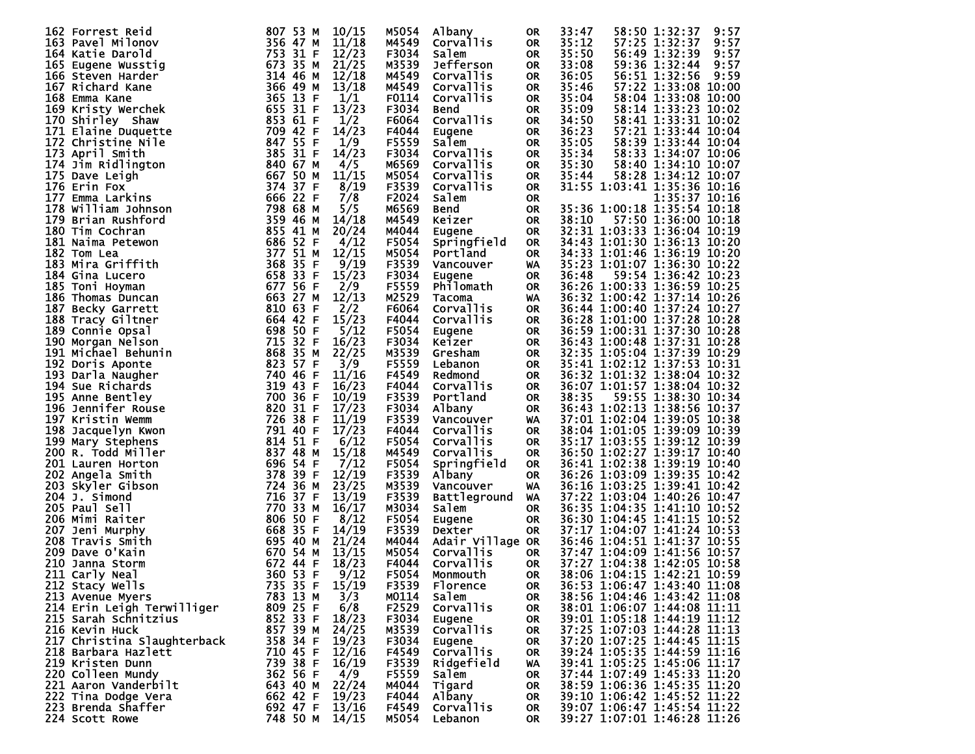| <b>162 Forrest Reid</b>     | 807 53 M | 10/15 | M5054 | Albany              | 0R        | 33:47 |                             | 58:50 1:32:37               | 9:57 |
|-----------------------------|----------|-------|-------|---------------------|-----------|-------|-----------------------------|-----------------------------|------|
| 163 Pavel Milonov           | 356 47 M | 11/18 | M4549 | <b>Corvallis</b>    | <b>OR</b> | 35:12 |                             | 57:25 1:32:37               | 9:57 |
|                             |          |       |       |                     |           |       |                             |                             |      |
| 164 Katie Darold            | 753 31 F | 12/23 | F3034 | Salem               | <b>OR</b> | 35:50 |                             | 56:49 1:32:39               | 9:57 |
| 165 Eugene Wusstig          | 673 35 M | 21/25 | M3539 | Jefferson           | <b>OR</b> | 33:08 |                             | 59:36 1:32:44               | 9:57 |
|                             |          |       |       |                     |           |       |                             |                             |      |
| 166 Steven Harder           | 314 46 M | 12/18 | M4549 | Corvallis           | <b>OR</b> | 36:05 |                             | 56:51 1:32:56               | 9:59 |
|                             | 366 49 M | 13/18 |       |                     |           | 35:46 |                             | 57:22 1:33:08 10:00         |      |
| 167 Richard Kane            |          |       | M4549 | Corvallis           | <b>OR</b> |       |                             |                             |      |
| 168 Emma Kane               | 365 13 F | 1/1   | F0114 | <b>Corvallis</b>    | <b>OR</b> | 35:04 |                             | 58:04 1:33:08 10:00         |      |
|                             |          |       |       |                     |           |       |                             |                             |      |
| 169 Kristy Werchek          | 655 31 F | 13/23 | F3034 | Bend                | <b>OR</b> | 35:09 |                             | 58:14 1:33:23 10:02         |      |
| 170 Shirley Shaw            | 853 61 F | 1/2   | F6064 | Corvallis           | <b>OR</b> | 34:50 |                             | 58:41 1:33:31 10:02         |      |
|                             |          |       |       |                     |           |       |                             |                             |      |
| 171 Elaine Duquette         | 709 42 F | 14/23 | F4044 | Eugene              | <b>OR</b> | 36:23 |                             | 57:21 1:33:44 10:04         |      |
| 172 Christine Nile          | 847 55 F | 1/9   | F5559 | Salem               | <b>OR</b> | 35:05 |                             | 58:39 1:33:44 10:04         |      |
|                             |          |       |       |                     |           |       |                             |                             |      |
| 173 April Smith             | 385 31 F | 14/23 | F3034 | Corvallis           | <b>OR</b> | 35:34 |                             | 58:33 1:34:07 10:06         |      |
|                             |          |       |       |                     |           |       |                             |                             |      |
| 174 Jim Ridlington          | 840 67 M | 4/5   | M6569 | Corvallis           | <b>OR</b> | 35:30 |                             | 58:40 1:34:10 10:07         |      |
| 175 Dave Leigh              | 667 50 M | 11/15 | M5054 | Corvallis           | <b>OR</b> | 35:44 |                             | 58:28 1:34:12 10:07         |      |
|                             |          |       |       |                     |           |       |                             |                             |      |
| 176 Erin Fox                | 374 37 F | 8/19  | F3539 | Corvallis           | OR        |       |                             | 31:55 1:03:41 1:35:36 10:16 |      |
| 177 Emma Larkins            | 666 22 F | 7/8   | F2024 | Salem               | 0R        |       |                             | 1:35:37 10:16               |      |
|                             |          |       |       |                     |           |       |                             |                             |      |
| 178 william Johnson         | 798 68 M | 5/5   | M6569 | Bend                | <b>OR</b> |       |                             | 35:36 1:00:18 1:35:54 10:18 |      |
|                             | 359 46 M | 14/18 |       |                     |           |       |                             | 57:50 1:36:00 10:18         |      |
| 179 Brian Rushford          |          |       | M4549 | Keizer              | <b>OR</b> | 38:10 |                             |                             |      |
| 180 Tim Cochran             | 855 41 M | 20/24 | M4044 | Eugene              | <b>OR</b> |       |                             | 32:31 1:03:33 1:36:04 10:19 |      |
|                             |          |       |       |                     |           |       |                             |                             |      |
| 181 Naima Petewon           | 686 52 F | 4/12  | F5054 | Springfield         | <b>OR</b> |       |                             | 34:43 1:01:30 1:36:13 10:20 |      |
| 182 Tom Lea                 | 377 51 M | 12/15 | M5054 | Portland            | <b>OR</b> |       |                             | 34:33 1:01:46 1:36:19 10:20 |      |
|                             |          |       |       |                     |           |       |                             |                             |      |
| 183 Mira Griffith           | 368 35 F | 9/19  | F3539 | Vancouver           | WA        |       |                             | 35:23 1:01:07 1:36:30 10:22 |      |
| 184 Gina Lucero             | 658 33 F | 15/23 | F3034 |                     | <b>OR</b> | 36:48 |                             | 59:54 1:36:42 10:23         |      |
|                             |          |       |       | Eugene              |           |       |                             |                             |      |
| 185 Toni Hoyman             | 677 56 F | 2/9   | F5559 | Philomath           | <b>OR</b> |       |                             | 36:26 1:00:33 1:36:59 10:25 |      |
|                             | 663 27 M | 12/13 | M2529 |                     |           |       |                             | 36:32 1:00:42 1:37:14 10:26 |      |
| 186 Thomas Duncan           |          |       |       | Tacoma              | WA        |       |                             |                             |      |
| 187 Becky Garrett           | 810 63 F | 2/2   | F6064 | <b>Corvallis</b>    | <b>OR</b> |       |                             | 36:44 1:00:40 1:37:24 10:27 |      |
|                             |          |       |       |                     |           |       |                             |                             |      |
| 188 Tracy Giltner           | 664 42 F | 15/23 | F4044 | Corvallis           | <b>OR</b> |       |                             | 36:28 1:01:00 1:37:28 10:28 |      |
| 189 Connie Opsal            | 698 50 F | 5/12  | F5054 | Eugene              | <b>OR</b> |       |                             | 36:59 1:00:31 1:37:30 10:28 |      |
|                             |          |       |       |                     |           |       |                             |                             |      |
| 190 Morgan Nelson           | 715 32 F | 16/23 | F3034 | Keizer              | <b>OR</b> |       |                             | 36:43 1:00:48 1:37:31 10:28 |      |
| 191 Michael Behunin         | 868 35 M | 22/25 | M3539 | Gresham             |           |       |                             | 32:35 1:05:04 1:37:39 10:29 |      |
|                             |          |       |       |                     | <b>OR</b> |       |                             |                             |      |
| 192 Doris Aponte            | 823 57 F | 3/9   | F5559 | Lebanon             | <b>OR</b> |       |                             | 35:41 1:02:12 1:37:53 10:31 |      |
|                             | 740 46 F |       |       |                     |           |       |                             | 36:32 1:01:32 1:38:04 10:32 |      |
| 193 Darla Naugher           |          | 11/16 | F4549 | Redmond             | <b>OR</b> |       |                             |                             |      |
| 194 Sue Richards            | 319 43 F | 16/23 | F4044 | Corvallis           | OR        |       |                             | 36:07 1:01:57 1:38:04 10:32 |      |
|                             |          |       |       |                     |           |       |                             |                             |      |
| 195 Anne Bentley            | 700 36 F | 10/19 | F3539 | Portland            | <b>OR</b> | 38:35 |                             | 59:55 1:38:30 10:34         |      |
| 196 Jennifer Rouse          | 820 31 F | 17/23 | F3034 | Albany              | <b>OR</b> |       |                             | 36:43 1:02:13 1:38:56 10:37 |      |
|                             |          |       |       |                     |           |       |                             |                             |      |
| 197 Kristin Wemm            | 726 38 F | 11/19 | F3539 | Vancouver           | WA        |       |                             | 37:01 1:02:04 1:39:05 10:38 |      |
|                             | 791 40 F |       |       |                     |           |       |                             |                             |      |
| 198 Jacquelyn Kwon          |          | 17/23 | F4044 | Corvallis           | <b>OR</b> |       |                             | 38:04 1:01:05 1:39:09 10:39 |      |
| 199 Mary Stephens           | 814 51 F | 6/12  | F5054 | Corvallis           | <b>OR</b> |       |                             | 35:17 1:03:55 1:39:12 10:39 |      |
|                             |          |       |       |                     |           |       |                             |                             |      |
| <b>200 R. Todd Miller</b>   | 837 48 M | 15/18 | M4549 | <b>Corvallis</b>    | <b>OR</b> |       |                             | 36:50 1:02:27 1:39:17 10:40 |      |
| 201 Lauren Horton           | 696 54 F | 7/12  | F5054 | Springfield         | <b>OR</b> |       |                             | 36:41 1:02:38 1:39:19 10:40 |      |
|                             |          |       |       |                     |           |       |                             |                             |      |
| 202 Angela Smith            | 378 39 F | 12/19 | F3539 | Albany              | <b>OR</b> |       |                             | 36:26 1:03:09 1:39:35 10:42 |      |
| 203 Skyler Gibson           | 724 36 M | 23/25 | M3539 | Vancouver           | WA        |       |                             | 36:16 1:03:25 1:39:41 10:42 |      |
|                             |          |       |       |                     |           |       |                             |                             |      |
| 204 J. Simond               | 716 37 F | 13/19 | F3539 | <b>Battleground</b> | WA        |       |                             | 37:22 1:03:04 1:40:26 10:47 |      |
| 205 Paul Sell               | 770 33 M | 16/17 | M3034 | Salem               | <b>OR</b> |       |                             | 36:35 1:04:35 1:41:10 10:52 |      |
|                             |          |       |       |                     |           |       |                             |                             |      |
| 206 Mimi Raiter             | 806 50 F | 8/12  | F5054 | Eugene              | <b>OR</b> |       |                             | 36:30 1:04:45 1:41:15 10:52 |      |
|                             | 668 35 F | 14/19 | F3539 | Dexter              |           |       |                             | 37:17 1:04:07 1:41:24 10:53 |      |
| 207 Jeni Murphy             |          |       |       |                     | <b>OR</b> |       |                             |                             |      |
| 208 Travis Smith            | 695 40 M | 21/24 | M4044 | Adair Village OR    |           |       |                             | 36:46 1:04:51 1:41:37 10:55 |      |
|                             |          |       |       |                     |           |       |                             |                             |      |
| 209 Dave O'Kain             | 670 54 M | 13/15 | M5054 | Corvallis           | <b>OR</b> |       |                             | 37:47 1:04:09 1:41:56 10:57 |      |
| 210 Janna Storm             | 672 44 F | 18/23 | F4044 | Corvallis           | <b>OR</b> |       |                             | 37:27 1:04:38 1:42:05 10:58 |      |
|                             |          |       |       |                     |           |       |                             |                             |      |
| 360 53 F<br>211 Carly Neal  |          | 9/12  | F5054 | Monmouth            | <b>OR</b> |       |                             | 38:06 1:04:15 1:42:21 10:59 |      |
| 212 Stacy Wells             | 735 35 F | 15/19 | F3539 | Florence            | <b>OR</b> |       |                             | 36:53 1:06:47 1:43:40 11:08 |      |
|                             |          |       |       |                     |           |       |                             |                             |      |
| 213 Avenue Myers            | 783 13 M | 3/3   | M0114 | Salem               | 0R        |       |                             | 38:56 1:04:46 1:43:42 11:08 |      |
| 214 Erin Leigh Terwilliger  | 809 25 F |       |       | Corvallis           |           |       |                             |                             |      |
|                             |          | 6/8   | F2529 |                     | 0R        |       |                             | 38:01 1:06:07 1:44:08 11:11 |      |
| 215 Sarah Schnitzius        | 852 33 F | 18/23 | F3034 | Eugene              | 0R        |       |                             | 39:01 1:05:18 1:44:19 11:12 |      |
|                             |          |       |       |                     |           |       |                             |                             |      |
| 216 Kevin Huck              | 857 39 M | 24/25 | M3539 | Corvallis           | 0R        |       |                             | 37:25 1:07:03 1:44:28 11:13 |      |
| 217 Christina Slaughterback | 358 34 F | 19/23 | F3034 | Eugene              | 0R        |       |                             | 37:20 1:07:25 1:44:45 11:15 |      |
|                             |          |       |       |                     |           |       |                             |                             |      |
| 218 Barbara Hazlett         | 710 45 F | 12/16 | F4549 | <b>Corvallis</b>    | 0R        |       |                             | 39:24 1:05:35 1:44:59 11:16 |      |
| 219 Kristen Dunn            | 739 38 F | 16/19 | F3539 | Ridgefield          | WA        |       |                             | 39:41 1:05:25 1:45:06 11:17 |      |
|                             |          |       |       |                     |           |       |                             |                             |      |
| 220 Colleen Mundy           | 362 56 F | 4/9   | F5559 | Salem               | 0R        |       |                             | 37:44 1:07:49 1:45:33 11:20 |      |
|                             | 643 40 M | 22/24 | M4044 |                     |           |       |                             | 38:59 1:06:36 1:45:35 11:20 |      |
| 221 Aaron Vanderbilt        |          |       |       | Tigard              | 0R        |       |                             |                             |      |
|                             | 662 42 F | 19/23 | F4044 | Albany              | 0R        |       | 39:10 1:06:42 1:45:52 11:22 |                             |      |
|                             |          |       |       |                     |           |       |                             |                             |      |
| 222 Tina Dodge Vera         |          |       |       |                     |           |       |                             |                             |      |
| 223 Brenda Shaffer          | 692 47 F | 13/16 | F4549 | Corvallis           | 0R        |       |                             | 39:07 1:06:47 1:45:54 11:22 |      |
| 224 Scott Rowe              | 748 50 M | 14/15 |       | M5054 Lebanon       | OR        |       |                             | 39:27 1:07:01 1:46:28 11:26 |      |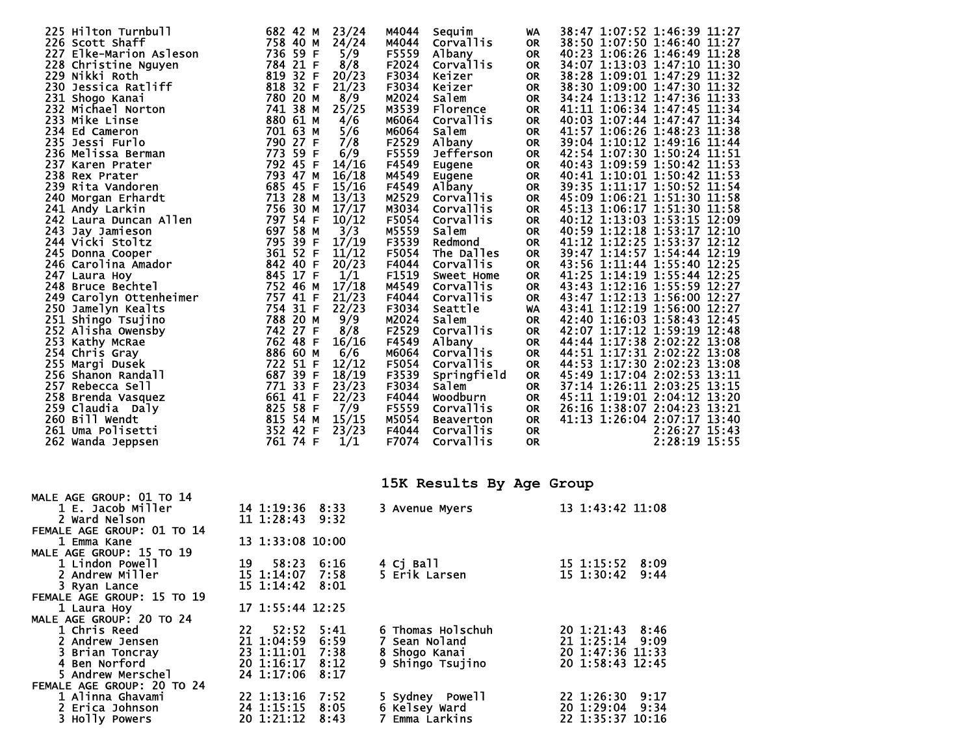|                         | 682 42 M                                                                                                                                                                                                                                                                                                                                                                                                                              |                                                                                                                                                                                                                                                                                         | M4044                                                                                                                                                                                                                                                                                                                                                          |                                                                                                                                                                                                                      | <b>WA</b>                                                                                                                                                                      |                                                                                                                                                                                          |  |                                                                                                                                                                                                                                                                                                                                                                                                                                                                                                                                                                                                                                                                                                                                                                                                                                                                                                                                                                                                                                                                                                                                                                                            |
|-------------------------|---------------------------------------------------------------------------------------------------------------------------------------------------------------------------------------------------------------------------------------------------------------------------------------------------------------------------------------------------------------------------------------------------------------------------------------|-----------------------------------------------------------------------------------------------------------------------------------------------------------------------------------------------------------------------------------------------------------------------------------------|----------------------------------------------------------------------------------------------------------------------------------------------------------------------------------------------------------------------------------------------------------------------------------------------------------------------------------------------------------------|----------------------------------------------------------------------------------------------------------------------------------------------------------------------------------------------------------------------|--------------------------------------------------------------------------------------------------------------------------------------------------------------------------------|------------------------------------------------------------------------------------------------------------------------------------------------------------------------------------------|--|--------------------------------------------------------------------------------------------------------------------------------------------------------------------------------------------------------------------------------------------------------------------------------------------------------------------------------------------------------------------------------------------------------------------------------------------------------------------------------------------------------------------------------------------------------------------------------------------------------------------------------------------------------------------------------------------------------------------------------------------------------------------------------------------------------------------------------------------------------------------------------------------------------------------------------------------------------------------------------------------------------------------------------------------------------------------------------------------------------------------------------------------------------------------------------------------|
| 226 Scott Shaff         |                                                                                                                                                                                                                                                                                                                                                                                                                                       |                                                                                                                                                                                                                                                                                         | M4044                                                                                                                                                                                                                                                                                                                                                          |                                                                                                                                                                                                                      | <b>OR</b>                                                                                                                                                                      |                                                                                                                                                                                          |  |                                                                                                                                                                                                                                                                                                                                                                                                                                                                                                                                                                                                                                                                                                                                                                                                                                                                                                                                                                                                                                                                                                                                                                                            |
|                         |                                                                                                                                                                                                                                                                                                                                                                                                                                       |                                                                                                                                                                                                                                                                                         |                                                                                                                                                                                                                                                                                                                                                                |                                                                                                                                                                                                                      |                                                                                                                                                                                |                                                                                                                                                                                          |  |                                                                                                                                                                                                                                                                                                                                                                                                                                                                                                                                                                                                                                                                                                                                                                                                                                                                                                                                                                                                                                                                                                                                                                                            |
|                         |                                                                                                                                                                                                                                                                                                                                                                                                                                       |                                                                                                                                                                                                                                                                                         |                                                                                                                                                                                                                                                                                                                                                                | Corvallis                                                                                                                                                                                                            | <b>OR</b>                                                                                                                                                                      |                                                                                                                                                                                          |  |                                                                                                                                                                                                                                                                                                                                                                                                                                                                                                                                                                                                                                                                                                                                                                                                                                                                                                                                                                                                                                                                                                                                                                                            |
| 229 Nikki Roth          |                                                                                                                                                                                                                                                                                                                                                                                                                                       |                                                                                                                                                                                                                                                                                         |                                                                                                                                                                                                                                                                                                                                                                | Keizer                                                                                                                                                                                                               |                                                                                                                                                                                |                                                                                                                                                                                          |  |                                                                                                                                                                                                                                                                                                                                                                                                                                                                                                                                                                                                                                                                                                                                                                                                                                                                                                                                                                                                                                                                                                                                                                                            |
|                         |                                                                                                                                                                                                                                                                                                                                                                                                                                       |                                                                                                                                                                                                                                                                                         |                                                                                                                                                                                                                                                                                                                                                                |                                                                                                                                                                                                                      |                                                                                                                                                                                |                                                                                                                                                                                          |  |                                                                                                                                                                                                                                                                                                                                                                                                                                                                                                                                                                                                                                                                                                                                                                                                                                                                                                                                                                                                                                                                                                                                                                                            |
|                         |                                                                                                                                                                                                                                                                                                                                                                                                                                       |                                                                                                                                                                                                                                                                                         |                                                                                                                                                                                                                                                                                                                                                                | Salem                                                                                                                                                                                                                |                                                                                                                                                                                |                                                                                                                                                                                          |  |                                                                                                                                                                                                                                                                                                                                                                                                                                                                                                                                                                                                                                                                                                                                                                                                                                                                                                                                                                                                                                                                                                                                                                                            |
| 232 Michael Norton      |                                                                                                                                                                                                                                                                                                                                                                                                                                       |                                                                                                                                                                                                                                                                                         |                                                                                                                                                                                                                                                                                                                                                                |                                                                                                                                                                                                                      |                                                                                                                                                                                |                                                                                                                                                                                          |  |                                                                                                                                                                                                                                                                                                                                                                                                                                                                                                                                                                                                                                                                                                                                                                                                                                                                                                                                                                                                                                                                                                                                                                                            |
| 233 Mike Linse          |                                                                                                                                                                                                                                                                                                                                                                                                                                       |                                                                                                                                                                                                                                                                                         |                                                                                                                                                                                                                                                                                                                                                                |                                                                                                                                                                                                                      |                                                                                                                                                                                |                                                                                                                                                                                          |  |                                                                                                                                                                                                                                                                                                                                                                                                                                                                                                                                                                                                                                                                                                                                                                                                                                                                                                                                                                                                                                                                                                                                                                                            |
|                         |                                                                                                                                                                                                                                                                                                                                                                                                                                       |                                                                                                                                                                                                                                                                                         |                                                                                                                                                                                                                                                                                                                                                                | Salem                                                                                                                                                                                                                |                                                                                                                                                                                |                                                                                                                                                                                          |  |                                                                                                                                                                                                                                                                                                                                                                                                                                                                                                                                                                                                                                                                                                                                                                                                                                                                                                                                                                                                                                                                                                                                                                                            |
| 235 Jessi Furlo         |                                                                                                                                                                                                                                                                                                                                                                                                                                       |                                                                                                                                                                                                                                                                                         |                                                                                                                                                                                                                                                                                                                                                                |                                                                                                                                                                                                                      |                                                                                                                                                                                |                                                                                                                                                                                          |  |                                                                                                                                                                                                                                                                                                                                                                                                                                                                                                                                                                                                                                                                                                                                                                                                                                                                                                                                                                                                                                                                                                                                                                                            |
|                         |                                                                                                                                                                                                                                                                                                                                                                                                                                       |                                                                                                                                                                                                                                                                                         |                                                                                                                                                                                                                                                                                                                                                                |                                                                                                                                                                                                                      |                                                                                                                                                                                |                                                                                                                                                                                          |  |                                                                                                                                                                                                                                                                                                                                                                                                                                                                                                                                                                                                                                                                                                                                                                                                                                                                                                                                                                                                                                                                                                                                                                                            |
|                         |                                                                                                                                                                                                                                                                                                                                                                                                                                       |                                                                                                                                                                                                                                                                                         |                                                                                                                                                                                                                                                                                                                                                                |                                                                                                                                                                                                                      |                                                                                                                                                                                |                                                                                                                                                                                          |  |                                                                                                                                                                                                                                                                                                                                                                                                                                                                                                                                                                                                                                                                                                                                                                                                                                                                                                                                                                                                                                                                                                                                                                                            |
|                         |                                                                                                                                                                                                                                                                                                                                                                                                                                       |                                                                                                                                                                                                                                                                                         | M4549                                                                                                                                                                                                                                                                                                                                                          |                                                                                                                                                                                                                      |                                                                                                                                                                                |                                                                                                                                                                                          |  |                                                                                                                                                                                                                                                                                                                                                                                                                                                                                                                                                                                                                                                                                                                                                                                                                                                                                                                                                                                                                                                                                                                                                                                            |
|                         |                                                                                                                                                                                                                                                                                                                                                                                                                                       |                                                                                                                                                                                                                                                                                         |                                                                                                                                                                                                                                                                                                                                                                |                                                                                                                                                                                                                      |                                                                                                                                                                                |                                                                                                                                                                                          |  |                                                                                                                                                                                                                                                                                                                                                                                                                                                                                                                                                                                                                                                                                                                                                                                                                                                                                                                                                                                                                                                                                                                                                                                            |
|                         |                                                                                                                                                                                                                                                                                                                                                                                                                                       |                                                                                                                                                                                                                                                                                         |                                                                                                                                                                                                                                                                                                                                                                |                                                                                                                                                                                                                      | <b>OR</b>                                                                                                                                                                      |                                                                                                                                                                                          |  |                                                                                                                                                                                                                                                                                                                                                                                                                                                                                                                                                                                                                                                                                                                                                                                                                                                                                                                                                                                                                                                                                                                                                                                            |
|                         | 756 30 M                                                                                                                                                                                                                                                                                                                                                                                                                              |                                                                                                                                                                                                                                                                                         | M3034                                                                                                                                                                                                                                                                                                                                                          |                                                                                                                                                                                                                      | <b>OR</b>                                                                                                                                                                      |                                                                                                                                                                                          |  |                                                                                                                                                                                                                                                                                                                                                                                                                                                                                                                                                                                                                                                                                                                                                                                                                                                                                                                                                                                                                                                                                                                                                                                            |
| 242 Laura Duncan Allen  | 797 54 F                                                                                                                                                                                                                                                                                                                                                                                                                              |                                                                                                                                                                                                                                                                                         |                                                                                                                                                                                                                                                                                                                                                                | <b>Corvallis</b>                                                                                                                                                                                                     |                                                                                                                                                                                |                                                                                                                                                                                          |  |                                                                                                                                                                                                                                                                                                                                                                                                                                                                                                                                                                                                                                                                                                                                                                                                                                                                                                                                                                                                                                                                                                                                                                                            |
|                         | 58 M                                                                                                                                                                                                                                                                                                                                                                                                                                  |                                                                                                                                                                                                                                                                                         |                                                                                                                                                                                                                                                                                                                                                                | Salem                                                                                                                                                                                                                | <b>OR</b>                                                                                                                                                                      |                                                                                                                                                                                          |  |                                                                                                                                                                                                                                                                                                                                                                                                                                                                                                                                                                                                                                                                                                                                                                                                                                                                                                                                                                                                                                                                                                                                                                                            |
|                         | 795 39 F                                                                                                                                                                                                                                                                                                                                                                                                                              |                                                                                                                                                                                                                                                                                         |                                                                                                                                                                                                                                                                                                                                                                | Redmond                                                                                                                                                                                                              | <b>OR</b>                                                                                                                                                                      |                                                                                                                                                                                          |  |                                                                                                                                                                                                                                                                                                                                                                                                                                                                                                                                                                                                                                                                                                                                                                                                                                                                                                                                                                                                                                                                                                                                                                                            |
|                         | 361 52 F                                                                                                                                                                                                                                                                                                                                                                                                                              |                                                                                                                                                                                                                                                                                         |                                                                                                                                                                                                                                                                                                                                                                |                                                                                                                                                                                                                      | <b>OR</b>                                                                                                                                                                      |                                                                                                                                                                                          |  |                                                                                                                                                                                                                                                                                                                                                                                                                                                                                                                                                                                                                                                                                                                                                                                                                                                                                                                                                                                                                                                                                                                                                                                            |
| 246 Carolina Amador     |                                                                                                                                                                                                                                                                                                                                                                                                                                       |                                                                                                                                                                                                                                                                                         |                                                                                                                                                                                                                                                                                                                                                                | <b>Corvallis</b>                                                                                                                                                                                                     |                                                                                                                                                                                |                                                                                                                                                                                          |  |                                                                                                                                                                                                                                                                                                                                                                                                                                                                                                                                                                                                                                                                                                                                                                                                                                                                                                                                                                                                                                                                                                                                                                                            |
|                         |                                                                                                                                                                                                                                                                                                                                                                                                                                       |                                                                                                                                                                                                                                                                                         |                                                                                                                                                                                                                                                                                                                                                                | Sweet Home                                                                                                                                                                                                           | <b>OR</b>                                                                                                                                                                      |                                                                                                                                                                                          |  |                                                                                                                                                                                                                                                                                                                                                                                                                                                                                                                                                                                                                                                                                                                                                                                                                                                                                                                                                                                                                                                                                                                                                                                            |
| 248 Bruce Bechtel       |                                                                                                                                                                                                                                                                                                                                                                                                                                       |                                                                                                                                                                                                                                                                                         | M4549                                                                                                                                                                                                                                                                                                                                                          | <b>Corvallis</b>                                                                                                                                                                                                     | <b>OR</b>                                                                                                                                                                      |                                                                                                                                                                                          |  |                                                                                                                                                                                                                                                                                                                                                                                                                                                                                                                                                                                                                                                                                                                                                                                                                                                                                                                                                                                                                                                                                                                                                                                            |
| 249 Carolyn Ottenheimer |                                                                                                                                                                                                                                                                                                                                                                                                                                       |                                                                                                                                                                                                                                                                                         | F4044                                                                                                                                                                                                                                                                                                                                                          | Corvallis                                                                                                                                                                                                            | <b>OR</b>                                                                                                                                                                      |                                                                                                                                                                                          |  |                                                                                                                                                                                                                                                                                                                                                                                                                                                                                                                                                                                                                                                                                                                                                                                                                                                                                                                                                                                                                                                                                                                                                                                            |
|                         |                                                                                                                                                                                                                                                                                                                                                                                                                                       | 22/23                                                                                                                                                                                                                                                                                   |                                                                                                                                                                                                                                                                                                                                                                | Seattle                                                                                                                                                                                                              | WA                                                                                                                                                                             |                                                                                                                                                                                          |  |                                                                                                                                                                                                                                                                                                                                                                                                                                                                                                                                                                                                                                                                                                                                                                                                                                                                                                                                                                                                                                                                                                                                                                                            |
| 251 Shingo Tsujino      | 788 20 M                                                                                                                                                                                                                                                                                                                                                                                                                              | 9/9                                                                                                                                                                                                                                                                                     | M2024                                                                                                                                                                                                                                                                                                                                                          | Salem                                                                                                                                                                                                                |                                                                                                                                                                                |                                                                                                                                                                                          |  |                                                                                                                                                                                                                                                                                                                                                                                                                                                                                                                                                                                                                                                                                                                                                                                                                                                                                                                                                                                                                                                                                                                                                                                            |
|                         |                                                                                                                                                                                                                                                                                                                                                                                                                                       |                                                                                                                                                                                                                                                                                         |                                                                                                                                                                                                                                                                                                                                                                | <b>Corvallis</b>                                                                                                                                                                                                     | <b>OR</b>                                                                                                                                                                      |                                                                                                                                                                                          |  |                                                                                                                                                                                                                                                                                                                                                                                                                                                                                                                                                                                                                                                                                                                                                                                                                                                                                                                                                                                                                                                                                                                                                                                            |
|                         |                                                                                                                                                                                                                                                                                                                                                                                                                                       |                                                                                                                                                                                                                                                                                         | F4549                                                                                                                                                                                                                                                                                                                                                          |                                                                                                                                                                                                                      | <b>OR</b>                                                                                                                                                                      |                                                                                                                                                                                          |  |                                                                                                                                                                                                                                                                                                                                                                                                                                                                                                                                                                                                                                                                                                                                                                                                                                                                                                                                                                                                                                                                                                                                                                                            |
| 254 Chris Gray          |                                                                                                                                                                                                                                                                                                                                                                                                                                       |                                                                                                                                                                                                                                                                                         |                                                                                                                                                                                                                                                                                                                                                                | <b>Corvallis</b>                                                                                                                                                                                                     | <b>OR</b>                                                                                                                                                                      |                                                                                                                                                                                          |  |                                                                                                                                                                                                                                                                                                                                                                                                                                                                                                                                                                                                                                                                                                                                                                                                                                                                                                                                                                                                                                                                                                                                                                                            |
| 255 Margi Dusek         |                                                                                                                                                                                                                                                                                                                                                                                                                                       |                                                                                                                                                                                                                                                                                         |                                                                                                                                                                                                                                                                                                                                                                | <b>Corvallis</b>                                                                                                                                                                                                     | <b>OR</b>                                                                                                                                                                      |                                                                                                                                                                                          |  |                                                                                                                                                                                                                                                                                                                                                                                                                                                                                                                                                                                                                                                                                                                                                                                                                                                                                                                                                                                                                                                                                                                                                                                            |
|                         |                                                                                                                                                                                                                                                                                                                                                                                                                                       |                                                                                                                                                                                                                                                                                         |                                                                                                                                                                                                                                                                                                                                                                | Springfield                                                                                                                                                                                                          | <b>OR</b>                                                                                                                                                                      |                                                                                                                                                                                          |  |                                                                                                                                                                                                                                                                                                                                                                                                                                                                                                                                                                                                                                                                                                                                                                                                                                                                                                                                                                                                                                                                                                                                                                                            |
| 257 Rebecca Sell        |                                                                                                                                                                                                                                                                                                                                                                                                                                       |                                                                                                                                                                                                                                                                                         | F3034                                                                                                                                                                                                                                                                                                                                                          | <b>Salem</b>                                                                                                                                                                                                         | <b>OR</b>                                                                                                                                                                      |                                                                                                                                                                                          |  |                                                                                                                                                                                                                                                                                                                                                                                                                                                                                                                                                                                                                                                                                                                                                                                                                                                                                                                                                                                                                                                                                                                                                                                            |
| 258 Brenda Vasquez      |                                                                                                                                                                                                                                                                                                                                                                                                                                       |                                                                                                                                                                                                                                                                                         | F4044                                                                                                                                                                                                                                                                                                                                                          | Woodburn                                                                                                                                                                                                             | <b>OR</b>                                                                                                                                                                      |                                                                                                                                                                                          |  |                                                                                                                                                                                                                                                                                                                                                                                                                                                                                                                                                                                                                                                                                                                                                                                                                                                                                                                                                                                                                                                                                                                                                                                            |
| 259 Claudia Daly        |                                                                                                                                                                                                                                                                                                                                                                                                                                       |                                                                                                                                                                                                                                                                                         | F5559                                                                                                                                                                                                                                                                                                                                                          | Corvallis                                                                                                                                                                                                            | <b>OR</b>                                                                                                                                                                      |                                                                                                                                                                                          |  |                                                                                                                                                                                                                                                                                                                                                                                                                                                                                                                                                                                                                                                                                                                                                                                                                                                                                                                                                                                                                                                                                                                                                                                            |
| 260 Bill Wendt          |                                                                                                                                                                                                                                                                                                                                                                                                                                       | 15/15                                                                                                                                                                                                                                                                                   | M5054                                                                                                                                                                                                                                                                                                                                                          | Beaverton                                                                                                                                                                                                            | <b>OR</b>                                                                                                                                                                      |                                                                                                                                                                                          |  |                                                                                                                                                                                                                                                                                                                                                                                                                                                                                                                                                                                                                                                                                                                                                                                                                                                                                                                                                                                                                                                                                                                                                                                            |
| 261 Uma Polisetti       | 352 42 F                                                                                                                                                                                                                                                                                                                                                                                                                              |                                                                                                                                                                                                                                                                                         | F4044                                                                                                                                                                                                                                                                                                                                                          | <b>Corvallis</b>                                                                                                                                                                                                     | <b>OR</b>                                                                                                                                                                      |                                                                                                                                                                                          |  |                                                                                                                                                                                                                                                                                                                                                                                                                                                                                                                                                                                                                                                                                                                                                                                                                                                                                                                                                                                                                                                                                                                                                                                            |
| 262 Wanda Jeppsen       | 761 74 F                                                                                                                                                                                                                                                                                                                                                                                                                              | 1/1                                                                                                                                                                                                                                                                                     | F7074                                                                                                                                                                                                                                                                                                                                                          | Corvallis                                                                                                                                                                                                            | <b>OR</b>                                                                                                                                                                      |                                                                                                                                                                                          |  |                                                                                                                                                                                                                                                                                                                                                                                                                                                                                                                                                                                                                                                                                                                                                                                                                                                                                                                                                                                                                                                                                                                                                                                            |
|                         | 225 Hilton Turnbull<br><b>227 Elke-Marion Asleson</b><br>228 Christine Nguyen<br>230 Jessica Ratliff<br>231 Shogo Kanai<br>234 Ed Cameron<br>236 Melissa Berman<br>237 Karen Prater<br>238 Rex Prater<br>239 Rita Vandoren<br>240 Morgan Erhardt<br>241 Andy Larkin<br>243 Jay Jamieson<br>244 Vicki Stoltz<br>245 Donna Cooper<br>247 Laura Hoy<br>250 Jamelyn Kealts<br>252 Alisha Owensby<br>253 Kathy McRae<br>256 Shanon Randall | 736 59 F<br>784 21 F<br>819 32 F<br>780 20 M<br>880 61 M<br>701 63 M<br>790 27 F<br>773 59 F<br>792 45 F<br>793 47 M<br>685 45 F<br>713 28 M<br>697<br>842 40 F<br>845 17 F<br>752 46 M<br>757 41 F<br>754 31 F<br>742 27 F<br>762 48 F<br>722 51 F<br>771 33 F<br>661 41 F<br>815 54 M | 23/24<br>758 40 M<br>24/24<br>5/9<br>8/8<br>20/23<br>818 32 F<br>21/23<br>8/9<br>25/25<br>741 38 M<br>4/6<br>5/6<br>7/8<br>6/9<br>14/16<br>16/18<br>15/16<br>13/13<br>17/17<br>10/12<br>3/3<br>17/19<br>11/12<br>20/23<br>1/1<br>17/18<br>21/23<br>8/8<br>16/16<br>886 60 M<br>6/6<br>12/12<br>687 39 F<br>18/19<br>23/23<br>22/23<br>825 58 F<br>7/9<br>23/23 | F5559<br>F2024<br>F3034<br>F3034<br>M2024<br>M3539<br>M6064<br>M6064<br>F2529<br>F5559<br>F4549<br>F4549<br>M2529<br>F5054<br>M5559<br>F3539<br>F5054<br>F4044<br>F1519<br>F3034<br>F2529<br>M6064<br>F5054<br>F3539 | Sequim<br>Corvallis<br>Albany<br>Keizer<br>Florence<br>Corvallis<br>Albany<br>Jefferson<br>Eugene<br>Eugene<br>Albany<br><b>Corvallis</b><br>Corvallis<br>The Dalles<br>Albany | <b>OR</b><br><b>OR</b><br>OR<br><b>OR</b><br><b>OR</b><br><b>OR</b><br><b>OR</b><br><b>OR</b><br><b>OR</b><br><b>OR</b><br><b>OR</b><br><b>OR</b><br><b>OR</b><br><b>OR</b><br><b>OR</b> |  | 38:47 1:07:52 1:46:39 11:27<br>38:50 1:07:50 1:46:40 11:27<br>40:23 1:06:26 1:46:49 11:28<br>34:07 1:13:03 1:47:10 11:30<br>38:28 1:09:01 1:47:29 11:32<br>38:30 1:09:00 1:47:30 11:32<br>34:24 1:13:12 1:47:36 11:33<br>41:11 1:06:34 1:47:45 11:34<br>40:03 1:07:44 1:47:47 11:34<br>41:57 1:06:26 1:48:23 11:38<br>39:04 1:10:12 1:49:16 11:44<br>42:54 1:07:30 1:50:24 11:51<br>40:43 1:09:59 1:50:42 11:53<br>40:41 1:10:01 1:50:42 11:53<br>39:35 1:11:17 1:50:52 11:54<br>45:09 1:06:21 1:51:30 11:58<br>45:13 1:06:17 1:51:30 11:58<br>40:12 1:13:03 1:53:15 12:09<br>40:59 1:12:18 1:53:17 12:10<br>41:12 1:12:25 1:53:37 12:12<br>39:47 1:14:57 1:54:44 12:19<br>43:56 1:11:44 1:55:40 12:25<br>41:25 1:14:19 1:55:44 12:25<br>43:43 1:12:16 1:55:59 12:27<br>43:47 1:12:13 1:56:00 12:27<br>43:41 1:12:19 1:56:00 12:27<br>42:40 1:16:03 1:58:43 12:45<br>42:07 1:17:12 1:59:19 12:48<br>44:44 1:17:38 2:02:22 13:08<br>44:51 1:17:31 2:02:22 13:08<br>44:53 1:17:30 2:02:23 13:08<br>45:49 1:17:04 2:02:53 13:11<br>37:14 1:26:11 2:03:25 13:15<br>45:11 1:19:01 2:04:12 13:20<br>26:16 1:38:07 2:04:23 13:21<br>41:13 1:26:04 2:07:17 13:40<br>2:26:27 15:43<br>2:28:19 15:55 |

|                            |                  |      | 15K Results By Age Group |                    |
|----------------------------|------------------|------|--------------------------|--------------------|
| MALE AGE GROUP: 01 TO 14   |                  |      |                          |                    |
| 1 E. Jacob Miller          | 14 1:19:36 8:33  |      | 3 Avenue Myers           | 13 1:43:42 11:08   |
| 2 Ward Nelson              | 11 1:28:43       | 9:32 |                          |                    |
| FEMALE AGE GROUP: 01 TO 14 |                  |      |                          |                    |
| 1 Emma Kane                | 13 1:33:08 10:00 |      |                          |                    |
| MALE AGE GROUP: 15 TO 19   |                  |      |                          |                    |
| 1 Lindon Powell            | 19 58:23 6:16    |      | 4 Cj Ball                | 15 1:15:52 8:09    |
| 2 Andrew Miller            | 15 1:14:07 7:58  |      | 5 Erik Larsen            | 15 1:30:42<br>9:44 |
| 3 Ryan Lance               | 15 1:14:42 8:01  |      |                          |                    |
| FEMALE AGE GROUP: 15 TO 19 |                  |      |                          |                    |
| 1 Laura Hoy                | 17 1:55:44 12:25 |      |                          |                    |
| MALE AGE GROUP: 20 TO 24   |                  |      |                          |                    |
| 1 Chris Reed               | 22 52:52 5:41    |      | 6 Thomas Holschuh        | 20 1:21:43 8:46    |
| 2 Andrew Jensen            | 21 1:04:59       | 6:59 | 7 Sean Noland            | 21 1:25:14 9:09    |
| 3 Brian Toncray            | 23 1:11:01 7:38  |      | Shogo Kanai              | 20 1:47:36 11:33   |
| 4 Ben Norford              | 20 1:16:17 8:12  |      | 9 Shingo Tsujino         | 20 1:58:43 12:45   |
| 5 Andrew Merschel          | 24 1:17:06       | 8:17 |                          |                    |
| FEMALE AGE GROUP: 20 TO 24 |                  |      |                          |                    |
| 1 Alinna Ghavami           | 22 1:13:16 7:52  |      | 5 Sydney Powell          | 22 1:26:30 9:17    |
| 2 Erica Johnson            | 24 1:15:15       | 8:05 | 6 Kelsey Ward            | 20 1:29:04 9:34    |
| 3 Holly Powers             | 20 1:21:12       | 8:43 | Emma Larkins             | 22 1:35:37 10:16   |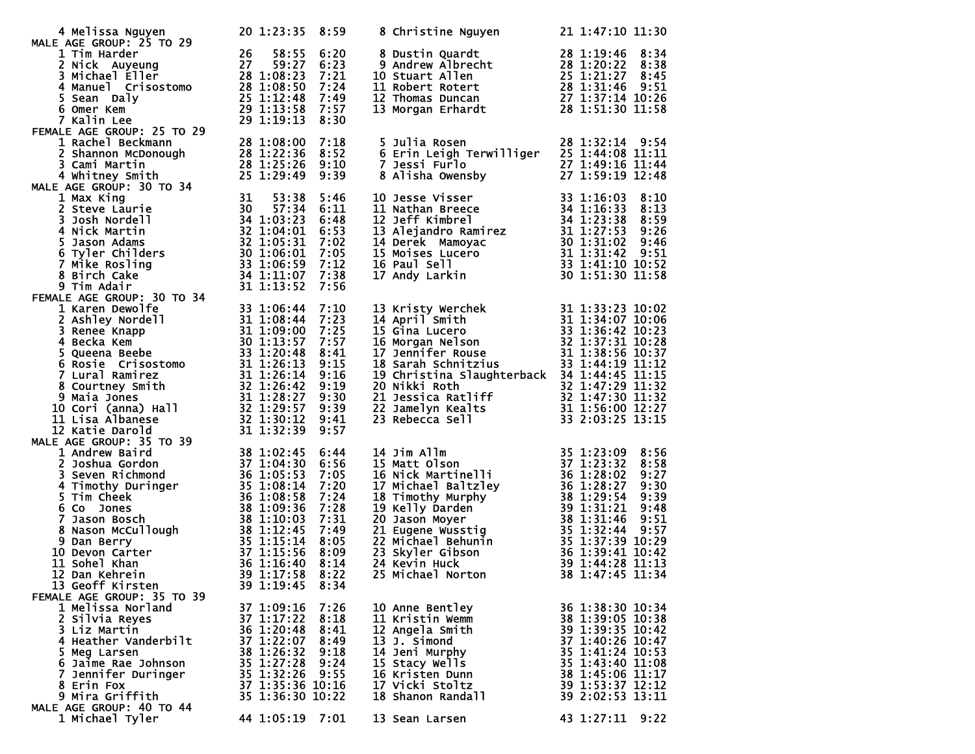| 12 Dan Kehrein                             39 1:17:58   8:22     25 Michael Norton               38 1:47:45 11:34<br>13 Geoff Kirsten<br>FEMALE AGE GROUP: 35 TO 39                                                       | 39 1:19:45 8:34                                                                                                                                                |                                              |                                                                                                                                                                                        |                                                                                                                                                                                                     |
|---------------------------------------------------------------------------------------------------------------------------------------------------------------------------------------------------------------------------|----------------------------------------------------------------------------------------------------------------------------------------------------------------|----------------------------------------------|----------------------------------------------------------------------------------------------------------------------------------------------------------------------------------------|-----------------------------------------------------------------------------------------------------------------------------------------------------------------------------------------------------|
| 1 Melissa Norland<br>2 Silvia Reyes<br>3 Liz Martin<br>4 Heather Vanderbilt<br>5 Meg Larsen<br>6 Jaime Rae Johnson<br>7 Jennifer Duringer<br>8 Erin Fox<br>9 Mira Griffith<br>MALE AGE GROUP: 40 TO 44<br>1 Michael Tyler | 37 1:09:16<br>37 1:17:22<br>36 1:20:48<br>37 1:22:07<br>38 1:26:32<br>35 1:27:28<br>35 1:32:26 9:55<br>37 1:35:36 10:16<br>35 1:36:30 10:22<br>44 1:05:19 7:01 | 7:26<br>8:18<br>8:41<br>8:49<br>9:18<br>9:24 | 10 Anne Bentley<br>11 Kristin Wemm<br>12 Angela Smith<br>13 J. Simond<br>14 Jeni Murphy<br>15 Stacy Wells<br>16 Kristen Dunn<br>17 Vicki Stoltz<br>18 Shanon Randall<br>13 Sean Larsen | 36 1:38:30 10:34<br>38 1:39:05 10:38<br>39 1:39:35 10:42<br>37 1:40:26 10:47<br>35 1:41:24 10:53<br>35 1:43:40 11:08<br>38 1:45:06 11:17<br>39 1:53:37 12:12<br>39 2:02:53 13:11<br>43 1:27:11 9:22 |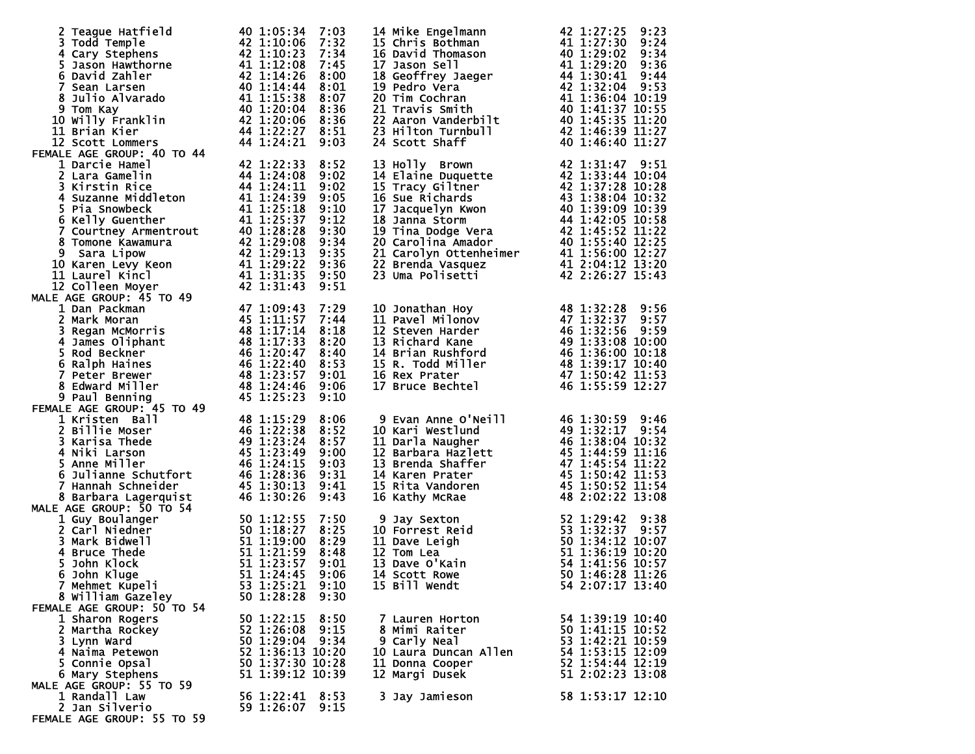| 2 Teague Hatfield<br>3 Todd Temple<br>4 Cary Stephens<br>5 Jason Hawthorne<br>6 David Zahler<br>7 Sean Larsen<br>8 Julio Alvarado<br>8 Julio Alvarado<br>9 Tom Kay<br>9 Tom Kay<br>10 Willy Franklin<br>4 1:20:04 8:36<br>10 Willy Franklin<br>4 1:22:27<br>FEMALE AGE GROUP: 40 TO 44                       |                                                                                                                                                         |                                                                                              | 14 Mike Engelmann<br>15 Chris Bothman<br>15 Chris Bothman<br>16 David Thomason<br>16 David Thomason<br>17 Jason Sell<br>18 Geoffrey Jaeger<br>18 Geoffrey Jaeger<br>18 Geoffrey Jaeger<br>19 Pedro Vera<br>20 Tim Cochran<br>21 Travis Smith<br>21 Tra                                     |                                                                                                                                    |
|--------------------------------------------------------------------------------------------------------------------------------------------------------------------------------------------------------------------------------------------------------------------------------------------------------------|---------------------------------------------------------------------------------------------------------------------------------------------------------|----------------------------------------------------------------------------------------------|--------------------------------------------------------------------------------------------------------------------------------------------------------------------------------------------------------------------------------------------------------------------------------------------|------------------------------------------------------------------------------------------------------------------------------------|
| 1 Darcie Hamel<br>FEMALE AGE GROUP: 40 TO 44<br>1 Darcie Hamel<br>2 Lara Gamelin<br>3 Kirstin Rice<br>4 4 1:24:08<br>3 Kirstin Rice<br>4 4 1:24:11<br>4 Suzanne Middleton<br>6 Kelly Guenther<br>6 Kelly Guenther<br>6 Kelly Guenther<br>4 1 1:25:18<br>7 Courtney Armen                                     | 42 1:22:33                                                                                                                                              | 8:52<br>9:02<br>9:02<br>9:05<br>9:10<br>9:12<br>9:30<br>9:34<br>9:35<br>9:36<br>9:50<br>9:51 | 13 Holly Brown<br>14 Elaine Duquette<br>14 Elaine Duquette<br>15 Tracy Giltner<br>16 Sue Richards<br>16 Sue Richards<br>17 Jacquelyn Kwon<br>18 Janna Storm<br>19 Tina Dodge Vera<br>19 Tina Dodge Vera<br>19 Tina Dodge Vera<br>20 Carolina Amador<br>                                    |                                                                                                                                    |
| FEMALE AGE GROUP: 45 TO 49                                                                                                                                                                                                                                                                                   |                                                                                                                                                         | 7:29<br>7:44<br>8:18<br>8:20<br>8:40<br>8:53<br>9:01<br>9:06<br>9:10                         | 10 Jonathan Hoy<br>11 Pavel Milonov<br>12 Steven Harder<br>13 Richard Kane<br>14 Brian Rushford<br>15 R. Todd Miller<br>16 Rex Prater<br>17 Bruce Bechtel<br>17 Bruce Bechtel<br>16 Rex Prater<br>17 Bruce Bechtel<br>16 Rex Prater<br>17 Bruce Bechte                                     |                                                                                                                                    |
| ALE AGE GROUP: 45 TO 49<br>1 Kristen Ball<br>2 Billie Moser<br>3 Karisa Thede<br>46 1:22:38<br>3 Karisa Thede<br>46 1:23:24<br>46 1:23:24<br>5 Anne Miller<br>5 Julianne Schutfort<br>46 1:24:15<br>7 Hannah Schneider<br>45 1:28:36<br>7 Hannah Schneid<br>8 Barbara Lagerquist<br>MALE AGE GROUP: 50 TO 54 | 46 1:30:26                                                                                                                                              | 8:06<br>8:52<br>8:57<br>9:00<br>9:03<br>9:31<br>9:41<br>9:43                                 | 9 Evan Anne O'Neill<br>10 Kari Westlund<br>11 Darla Naugher<br>11 Darla Naugher<br>13 Brenda Shaffer<br>13 Brenda Shaffer<br>13 Brenda Shaffer<br>145 1:45:54 11:22<br>14 Karen Prater<br>15 Rita Vandoren<br>16 Kathy McRae<br>16 Kathy McRae<br>16 A                                     |                                                                                                                                    |
| E AGE GROUP: 50 TO 54<br>1 Guy Boulanger<br>2 Carl Niedner<br>50 1:12:55<br>2 Carl Niedner<br>50 1:12:55<br>50 1:12:55<br>51 1:21:59<br>5 John Klock<br>51 1:23:57<br>7 Mehmat Kuneli<br>7 Mehmat Kuneli<br>7 Mehmet Kupeli<br>8 William Gazeley<br>FEMALE AGE GROUP: 50 TO 54                               | 53 1:25:21 9:10<br>50 1:28:28                                                                                                                           | 7:50<br>8:25<br>8:29<br>8:48<br>9:01<br>9:06<br>9:30                                         | 9 Jay Sexton<br>10 Forrest Reid<br>11 Dave Leigh<br>11 Dave Leigh<br>12 Tom Lea<br>13 Dave O'Kain<br>14 Scott Rowe<br>14 Scott Rowe<br>14 Sexter Solid 1:36:19 10:20<br>14 Scott Rowe<br>50 1:46:28 11:156<br>14 Scott Rowe<br>50 1:46:28 11:156<br>14 S<br>14 Scott Rowe<br>15 Bill Wendt | 54 2:07:17 13:40                                                                                                                   |
| 1 Sharon Rogers<br>2 Martha Rockey<br>3 Lynn Ward<br>4 Naima Petewon<br>5 Connie Opsal<br>6 Mary Stephens<br>MALE AGE GROUP: 55 TO 59<br>1 Randall Law<br>2 Jan Silverio                                                                                                                                     | 50 1:22:15 8:50<br>52 1:26:08 9:15<br>50 1:29:04 9:34<br>52 1:36:13 10:20<br>50 1:37:30 10:28<br>51 1:39:12 10:39<br>56 1:22:41 8:53<br>59 1:26:07 9:15 |                                                                                              | 7 Lauren Horton<br>8 Mimi Raiter<br>9 Carly Neal<br>10 Laura Duncan Allen 54 1:53:15 12:09<br>11 Donna Cooper 52 1:54:44 12:19<br>11 Donna Cooper<br>12 Margi Dusek<br>3 Jay Jamieson                                                                                                      | 54 1:39:19 10:40<br>50 1:41:15<br>53 1:42:21 10:59<br>53 1:42:21 10:59<br>52 1:54:44 12:19<br>51 2:02:23 13:08<br>58 1:53:17 12:10 |
| FEMALE AGE GROUP: 55 TO 59                                                                                                                                                                                                                                                                                   |                                                                                                                                                         |                                                                                              |                                                                                                                                                                                                                                                                                            |                                                                                                                                    |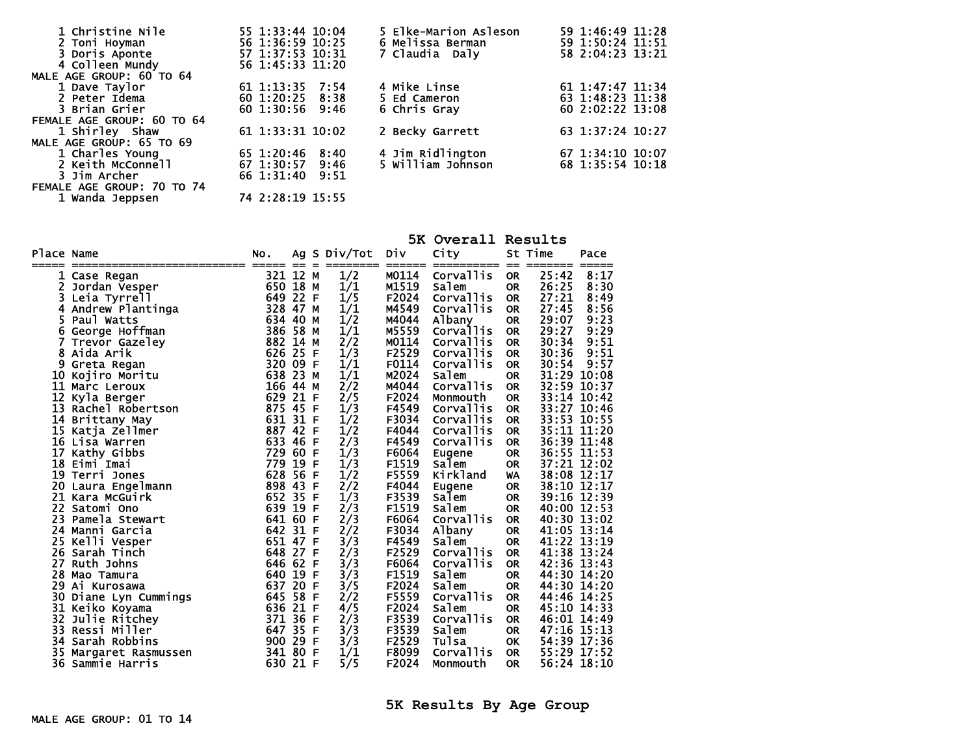| 1 Christine Nile<br>2 Toni Hoyman | 55 1:33:44 10:04<br>56 1:36:59 10:25 | 5 Elke-Marion Asleson<br>6 Melissa Berman | 59 1:46:49 11:28<br>59 1:50:24 11:51 |
|-----------------------------------|--------------------------------------|-------------------------------------------|--------------------------------------|
| 3 Doris Aponte                    | 57 1:37:53 10:31                     | 7 Claudia Daly                            | 58 2:04:23 13:21                     |
| 4 Colleen Mundy                   | 56 1:45:33 11:20                     |                                           |                                      |
| MALE AGE GROUP: 60 TO 64          |                                      |                                           |                                      |
| 1 Dave Taylor                     | 61 1:13:35 7:54                      | 4 Mike Linse                              | 61 1:47:47 11:34                     |
| 2 Peter Idema                     | 60 1:20:25 8:38                      | 5 Ed Cameron                              | 63 1:48:23 11:38                     |
| 3 Brian Grier                     | 60 1:30:56 9:46                      | 6 Chris Gray                              | 60 2:02:22 13:08                     |
| FEMALE AGE GROUP: 60 TO 64        |                                      |                                           |                                      |
| 1 Shirley Shaw                    | 61 1:33:31 10:02                     | 2 Becky Garrett                           | 63 1:37:24 10:27                     |
| MALE AGE GROUP: 65 TO 69          |                                      |                                           |                                      |
| 1 Charles Young                   | 65 1:20:46<br>8:40                   | 4 Jim Ridlington                          | 67 1:34:10 10:07                     |
| 2 Keith McConnell                 | 67 1:30:57 9:46                      | 5 William Johnson                         | 68 1:35:54 10:18                     |
| 3 Jim Archer                      | 66 1:31:40<br>9:51                   |                                           |                                      |
| FEMALE AGE GROUP: 70 TO 74        |                                      |                                           |                                      |

|  | ALL AGL GRVVF. 70 IV 77 |  |                  |  |
|--|-------------------------|--|------------------|--|
|  | 1 Wanda Jeppsen         |  | 74 2:28:19 15:55 |  |

|            |                                 |            |            |     |              |                | 5K Overall Results                        |                        |                |              |
|------------|---------------------------------|------------|------------|-----|--------------|----------------|-------------------------------------------|------------------------|----------------|--------------|
| Place Name |                                 | NO.        |            |     | Ag S Div/Tot | Div            | City                                      | St Time                |                | Pace         |
|            | ------------------------- ----- |            | $=$        | - - | --------     |                | ====== ========== == =======<br>Corvallis |                        |                | =====        |
| 1          | Case Regan                      | 321<br>650 | 12 M<br>18 | м   | 1/2<br>1/1   | M0114<br>M1519 | Salem                                     | <b>OR</b>              | 25:42<br>26:25 | 8:17<br>8:30 |
| 2<br>3.    | Jordan Vesper<br>Leia Tyrrell   | 649        | 22         | F   | 1/5          | F2024          | Corvallis                                 | <b>OR</b><br><b>OR</b> | 27:21          | 8:49         |
| 4          |                                 | 328        | 47         | М   | 1/1          | M4549          | Corvallis                                 | <b>OR</b>              | 27:45          | 8:56         |
| 5.         | Andrew Plantinga<br>Paul Watts  | 634 40     |            | м   | 1/2          | M4044          | A <sub>1</sub> bany                       | <b>OR</b>              | 29:07          | 9:23         |
| 6          | George Hoffman                  | 386 58 M   |            |     | 1/1          | M5559          | Corvallis                                 | <b>OR</b>              | 29:27          | 9:29         |
|            | Trevor Gazeley                  | 882 14     |            | M   | 2/2          | M0114          | <b>Corvallis</b>                          | <b>OR</b>              | 30:34          | 9:51         |
| 8          | Aida Arik                       | 626        | 25         | F   | 1/3          | F2529          | Corvallis                                 | <b>OR</b>              | 30:36          | 9:51         |
| 9          | Greta Regan                     | 320 09     |            | F   | 1/1          | F0114          | Corvallis                                 | <b>OR</b>              | 30:54          | 9:57         |
| 10         | Kojiro Moritu                   | 638        | 23         | м   | 1/1          | M2024          | Salem                                     | <b>OR</b>              | 31:29          | 10:08        |
| 11         | Marc Leroux                     | 166 44     |            | м   | 2/2          | M4044          | Corvallis                                 | <b>OR</b>              | 32:59          | 10:37        |
| 12         | Kyla Berger                     | 629        | 21         | F   | 2/5          | F2024          | Monmouth                                  | <b>OR</b>              | 33:14          | 10:42        |
| 13         | Rachel Robertson                | 875        | 45         | F   | 1/3          | F4549          | Corvallis                                 | <b>OR</b>              | 33:27          | 10:46        |
| 14         | Brittany May                    | 631 31     |            | - F | 1/2          | F3034          | Corvallis                                 | <b>OR</b>              | 33:53          | 10:55        |
| 15         | Katja Zellmer                   | 887 42     |            | F   | 1/2          | F4044          | Corvallis                                 | <b>OR</b>              |                | 35:11 11:20  |
|            | 16 Lisa Warren                  | 633 46     |            | F   | 2/3          | F4549          | Corvallis                                 | <b>OR</b>              |                | 36:39 11:48  |
| 17         | Kathy Gibbs                     | 729        | 60         | F   | 1/3          | F6064          | Eugene                                    | <b>OR</b>              |                | 36:55 11:53  |
|            | 18 Eimi Imai                    | 779        | 19         | F   | 1/3          | F1519          | salem                                     | <b>OR</b>              |                | 37:21 12:02  |
|            | 19 Terri Jones                  | 628        | 56         | F   | 1/2          | F5559          | Kirkland                                  | <b>WA</b>              |                | 38:08 12:17  |
|            | 20 Laura Engelmann              | 898        | 43         | F   | 2/2          | F4044          | Eugene                                    | <b>OR</b>              | 38:10 12:17    |              |
|            | 21 Kara McGuirk                 | 652        | 35         | F   | 1/3          | F3539          | Salem                                     | <b>OR</b>              |                | 39:16 12:39  |
| 22         | Satomi Ono                      | 639        | 19         | F   | 2/3          | F1519          | salem                                     | <b>OR</b>              | 40:00 12:53    |              |
| 23         | Pamela Stewart                  | 641 60     |            | F   | 2/3          | F6064          | Corvallis                                 | <b>OR</b>              | 40:30 13:02    |              |
|            | 24 Manni Garcia                 | 642 31     |            | - F | 2/2          | F3034          | Albany                                    | <b>OR</b>              |                | 41:05 13:14  |
| 25         | Kelli Vesper                    | 651 47     |            | F   | 3/3          | F4549          | salem                                     | <b>OR</b>              |                | 41:22 13:19  |
| 26         | Sarah Tinch                     | 648 27     |            | F   | 2/3          | F2529          | Corvallis                                 | <b>OR</b>              |                | 41:38 13:24  |
| 27         | Ruth Johns                      | 646 62     |            | F   | 3/3          | F6064          | Corvallis                                 | <b>OR</b>              | 42:36 13:43    |              |
| 28         | Mao Tamura                      | 640        | 19         | F   | 3/3          | F1519          | Salem                                     | <b>OR</b>              |                | 44:30 14:20  |
| 29         | Ai Kurosawa                     | 637        | 20         | F   | 3/5          | F2024          | Salem                                     | <b>OR</b>              | 44:30          | 14:20        |
| 30         | Diane Lyn Cummings              | 645        | 58         | F   | 2/2          | F5559          | Corvallis                                 | <b>OR</b>              |                | 44:46 14:25  |
|            | 31 Keiko Koyama                 | 636        | 21         | F   | 4/5          | F2024          | Salem                                     | <b>OR</b>              |                | 45:10 14:33  |
| 32         | Julie Ritchey                   | 371        | 36         | F   | 2/3          | F3539          | <b>Corvallis</b>                          | <b>OR</b>              |                | 46:01 14:49  |
| 33         | Ressi Miller                    | 647        | 35         | - F | 3/3          | F3539          | salem                                     | <b>OR</b>              |                | 47:16 15:13  |
| 34         | Sarah Robbins                   | 900        | 29         | F   | 3/3          | F2529          | Tulsa                                     | OK                     |                | 54:39 17:36  |
| 35         | Margaret Rasmussen              | 341        | 80         | F   | 1/1          | F8099          | Corvallis                                 | <b>OR</b>              |                | 55:29 17:52  |
| 36         | Sammie Harris                   | 630 21 F   |            |     | 5/5          | F2024          | Monmouth                                  | <b>OR</b>              |                | 56:24 18:10  |